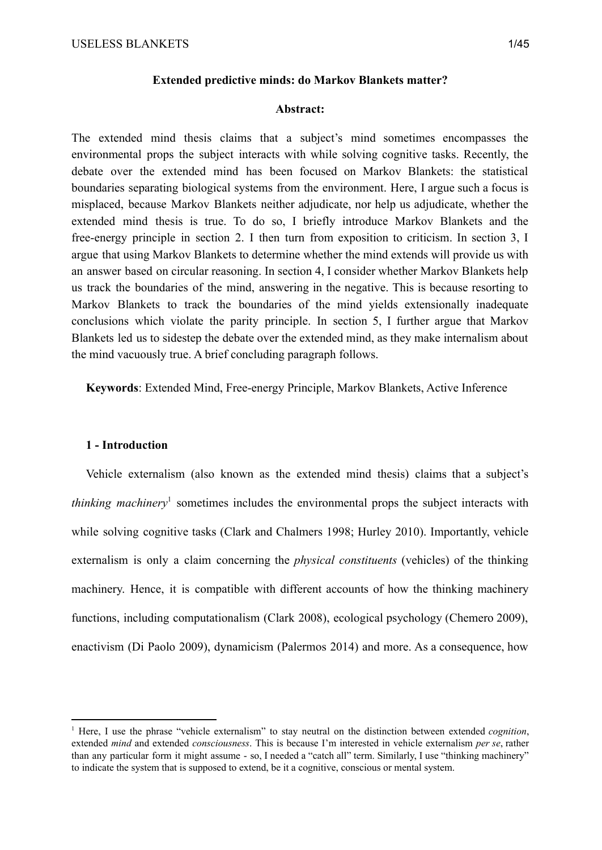#### **Extended predictive minds: do Markov Blankets matter?**

## **Abstract:**

The extended mind thesis claims that a subject's mind sometimes encompasses the environmental props the subject interacts with while solving cognitive tasks. Recently, the debate over the extended mind has been focused on Markov Blankets: the statistical boundaries separating biological systems from the environment. Here, I argue such a focus is misplaced, because Markov Blankets neither adjudicate, nor help us adjudicate, whether the extended mind thesis is true. To do so, I briefly introduce Markov Blankets and the free-energy principle in section 2. I then turn from exposition to criticism. In section 3, I argue that using Markov Blankets to determine whether the mind extends will provide us with an answer based on circular reasoning. In section 4, I consider whether Markov Blankets help us track the boundaries of the mind, answering in the negative. This is because resorting to Markov Blankets to track the boundaries of the mind yields extensionally inadequate conclusions which violate the parity principle. In section 5, I further argue that Markov Blankets led us to sidestep the debate over the extended mind, as they make internalism about the mind vacuously true. A brief concluding paragraph follows.

**Keywords**: Extended Mind, Free-energy Principle, Markov Blankets, Active Inference

#### **1 - Introduction**

Vehicle externalism (also known as the extended mind thesis) claims that a subject's *thinking machinery* sometimes includes the environmental props the subject interacts with while solving cognitive tasks (Clark and Chalmers 1998; Hurley 2010). Importantly, vehicle externalism is only a claim concerning the *physical constituents* (vehicles) of the thinking machinery. Hence, it is compatible with different accounts of how the thinking machinery functions, including computationalism (Clark 2008), ecological psychology (Chemero 2009), enactivism (Di Paolo 2009), dynamicism (Palermos 2014) and more. As a consequence, how

<sup>&</sup>lt;sup>1</sup> Here, I use the phrase "vehicle externalism" to stay neutral on the distinction between extended *cognition*, extended *mind* and extended *consciousness*. This is because I'm interested in vehicle externalism *per se*, rather than any particular form it might assume - so, I needed a "catch all" term. Similarly, I use "thinking machinery" to indicate the system that is supposed to extend, be it a cognitive, conscious or mental system.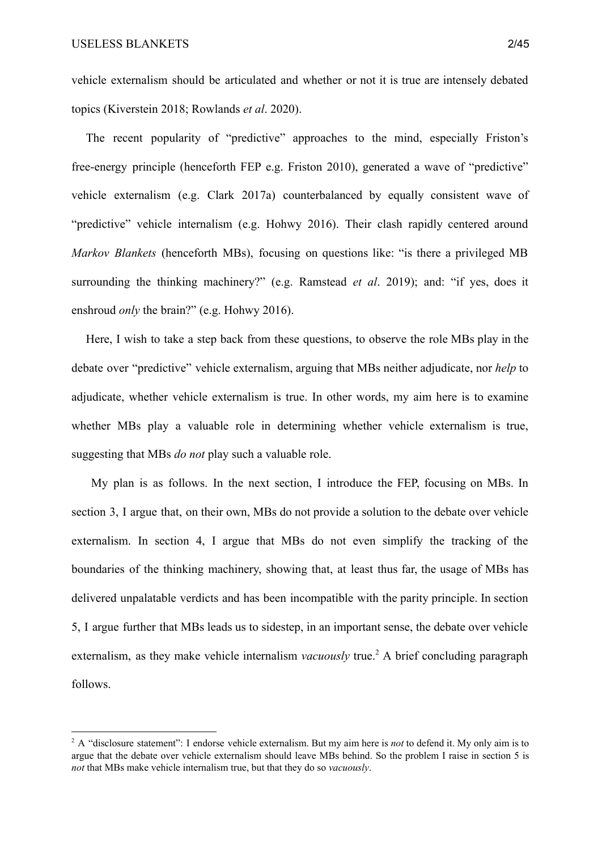vehicle externalism should be articulated and whether or not it is true are intensely debated topics (Kiverstein 2018; Rowlands *et al*. 2020).

The recent popularity of "predictive" approaches to the mind, especially Friston's free-energy principle (henceforth FEP e.g. Friston 2010), generated a wave of "predictive" vehicle externalism (e.g. Clark 2017a) counterbalanced by equally consistent wave of "predictive" vehicle internalism (e.g. Hohwy 2016). Their clash rapidly centered around *Markov Blankets* (henceforth MBs), focusing on questions like: "is there a privileged MB surrounding the thinking machinery?" (e.g. Ramstead *et al*. 2019); and: "if yes, does it enshroud *only* the brain?" (e.g. Hohwy 2016).

Here, I wish to take a step back from these questions, to observe the role MBs play in the debate over "predictive" vehicle externalism, arguing that MBs neither adjudicate, nor *help* to adjudicate, whether vehicle externalism is true. In other words, my aim here is to examine whether MBs play a valuable role in determining whether vehicle externalism is true, suggesting that MBs *do not* play such a valuable role.

My plan is as follows. In the next section, I introduce the FEP, focusing on MBs. In section 3, I argue that, on their own, MBs do not provide a solution to the debate over vehicle externalism. In section 4, I argue that MBs do not even simplify the tracking of the boundaries of the thinking machinery, showing that, at least thus far, the usage of MBs has delivered unpalatable verdicts and has been incompatible with the parity principle. In section 5, I argue further that MBs leads us to sidestep, in an important sense, the debate over vehicle externalism, as they make vehicle internalism *vacuously* true.<sup>2</sup> A brief concluding paragraph follows.

<sup>&</sup>lt;sup>2</sup> A "disclosure statement": I endorse vehicle externalism. But my aim here is *not* to defend it. My only aim is to argue that the debate over vehicle externalism should leave MBs behind. So the problem I raise in section 5 is *not* that MBs make vehicle internalism true, but that they do so *vacuously*.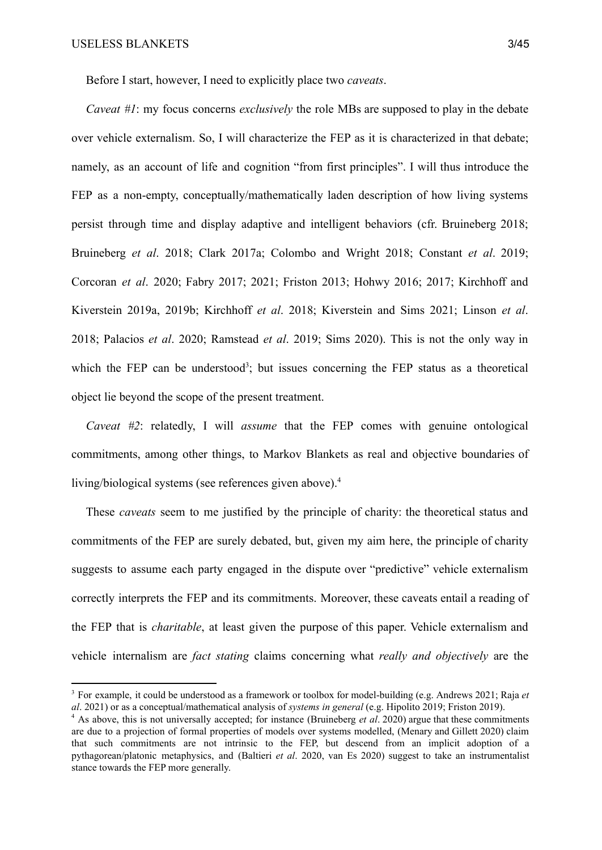Before I start, however, I need to explicitly place two *caveats*.

*Caveat #1*: my focus concerns *exclusively* the role MBs are supposed to play in the debate over vehicle externalism. So, I will characterize the FEP as it is characterized in that debate; namely, as an account of life and cognition "from first principles". I will thus introduce the FEP as a non-empty, conceptually/mathematically laden description of how living systems persist through time and display adaptive and intelligent behaviors (cfr. Bruineberg 2018; Bruineberg *et al*. 2018; Clark 2017a; Colombo and Wright 2018; Constant *et al*. 2019; Corcoran *et al*. 2020; Fabry 2017; 2021; Friston 2013; Hohwy 2016; 2017; Kirchhoff and Kiverstein 2019a, 2019b; Kirchhoff *et al*. 2018; Kiverstein and Sims 2021; Linson *et al*. 2018; Palacios *et al*. 2020; Ramstead *et al*. 2019; Sims 2020). This is not the only way in which the FEP can be understood<sup>3</sup>; but issues concerning the FEP status as a theoretical object lie beyond the scope of the present treatment.

*Caveat #2*: relatedly, I will *assume* that the FEP comes with genuine ontological commitments, among other things, to Markov Blankets as real and objective boundaries of living/biological systems (see references given above).<sup>4</sup>

These *caveats* seem to me justified by the principle of charity: the theoretical status and commitments of the FEP are surely debated, but, given my aim here, the principle of charity suggests to assume each party engaged in the dispute over "predictive" vehicle externalism correctly interprets the FEP and its commitments. Moreover, these caveats entail a reading of the FEP that is *charitable*, at least given the purpose of this paper. Vehicle externalism and vehicle internalism are *fact stating* claims concerning what *really and objectively* are the

<sup>3</sup> For example, it could be understood as a framework or toolbox for model-building (e.g. Andrews 2021; Raja *et al*. 2021) or as a conceptual/mathematical analysis of *systems in general* (e.g. Hipolito 2019; Friston 2019).

<sup>4</sup> As above, this is not universally accepted; for instance (Bruineberg *et al*. 2020) argue that these commitments are due to a projection of formal properties of models over systems modelled, (Menary and Gillett 2020) claim that such commitments are not intrinsic to the FEP, but descend from an implicit adoption of a pythagorean/platonic metaphysics, and (Baltieri *et al*. 2020, van Es 2020) suggest to take an instrumentalist stance towards the FEP more generally.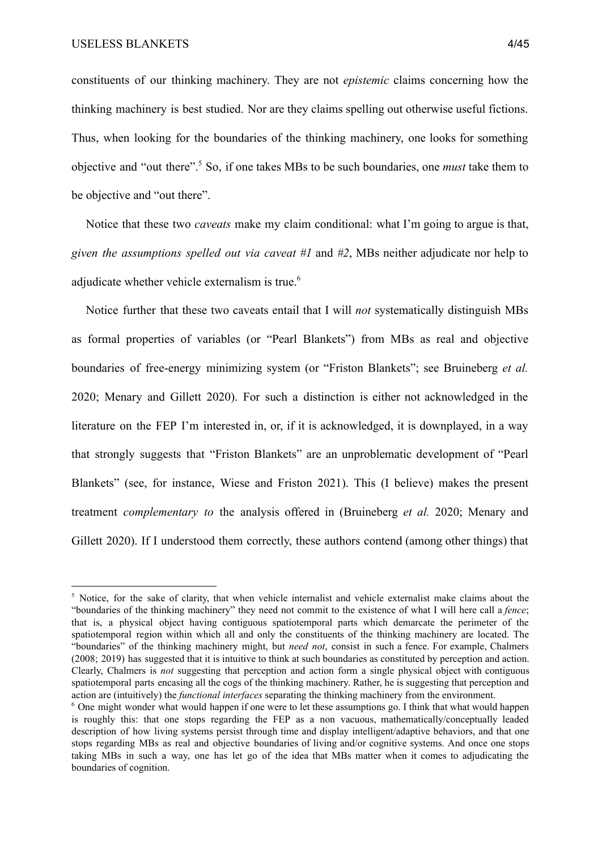constituents of our thinking machinery. They are not *epistemic* claims concerning how the thinking machinery is best studied. Nor are they claims spelling out otherwise useful fictions. Thus, when looking for the boundaries of the thinking machinery, one looks for something objective and "out there". So, if one takes MBs to be such boundaries, one *must* take them to <sup>5</sup> be objective and "out there".

Notice that these two *caveats* make my claim conditional: what I'm going to argue is that, *given the assumptions spelled out via caveat #1* and *#2*, MBs neither adjudicate nor help to adjudicate whether vehicle externalism is true.<sup>6</sup>

Notice further that these two caveats entail that I will *not* systematically distinguish MBs as formal properties of variables (or "Pearl Blankets") from MBs as real and objective boundaries of free-energy minimizing system (or "Friston Blankets"; see Bruineberg *et al.* 2020; Menary and Gillett 2020). For such a distinction is either not acknowledged in the literature on the FEP I'm interested in, or, if it is acknowledged, it is downplayed, in a way that strongly suggests that "Friston Blankets" are an unproblematic development of "Pearl Blankets" (see, for instance, Wiese and Friston 2021). This (I believe) makes the present treatment *complementary to* the analysis offered in (Bruineberg *et al.* 2020; Menary and Gillett 2020). If I understood them correctly, these authors contend (among other things) that

<sup>&</sup>lt;sup>5</sup> Notice, for the sake of clarity, that when vehicle internalist and vehicle externalist make claims about the "boundaries of the thinking machinery" they need not commit to the existence of what I will here call a *fence*; that is, a physical object having contiguous spatiotemporal parts which demarcate the perimeter of the spatiotemporal region within which all and only the constituents of the thinking machinery are located. The "boundaries" of the thinking machinery might, but *need not*, consist in such a fence. For example, Chalmers (2008; 2019) has suggested that it is intuitive to think at such boundaries as constituted by perception and action. Clearly, Chalmers is *not* suggesting that perception and action form a single physical object with contiguous spatiotemporal parts encasing all the cogs of the thinking machinery. Rather, he is suggesting that perception and action are (intuitively) the *functional interfaces* separating the thinking machinery from the environment.

<sup>6</sup> One might wonder what would happen if one were to let these assumptions go. I think that what would happen is roughly this: that one stops regarding the FEP as a non vacuous, mathematically/conceptually leaded description of how living systems persist through time and display intelligent/adaptive behaviors, and that one stops regarding MBs as real and objective boundaries of living and/or cognitive systems. And once one stops taking MBs in such a way, one has let go of the idea that MBs matter when it comes to adjudicating the boundaries of cognition.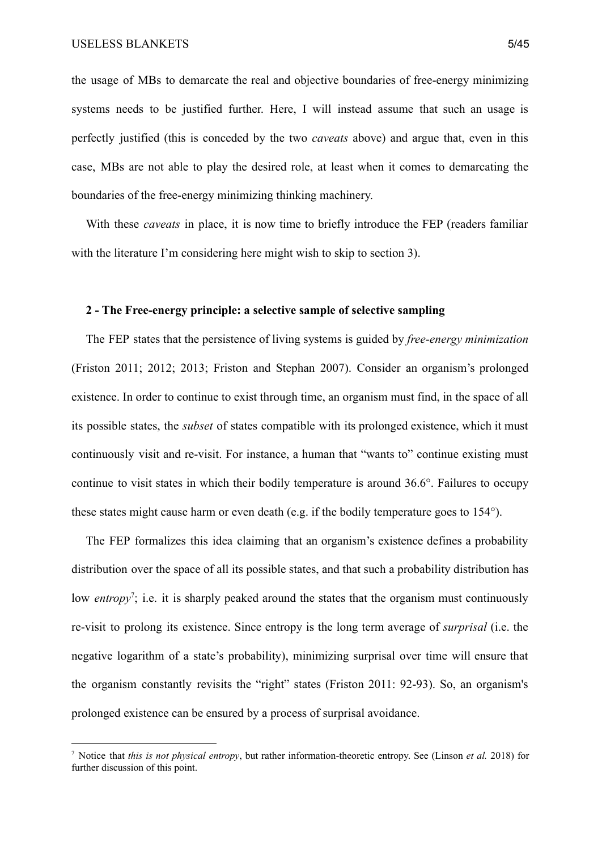the usage of MBs to demarcate the real and objective boundaries of free-energy minimizing systems needs to be justified further. Here, I will instead assume that such an usage is perfectly justified (this is conceded by the two *caveats* above) and argue that, even in this case, MBs are not able to play the desired role, at least when it comes to demarcating the boundaries of the free-energy minimizing thinking machinery.

With these *caveats* in place, it is now time to briefly introduce the FEP (readers familiar with the literature I'm considering here might wish to skip to section 3).

#### **2 - The Free-energy principle: a selective sample of selective sampling**

The FEP states that the persistence of living systems is guided by *free-energy minimization* (Friston 2011; 2012; 2013; Friston and Stephan 2007). Consider an organism's prolonged existence. In order to continue to exist through time, an organism must find, in the space of all its possible states, the *subset* of states compatible with its prolonged existence, which it must continuously visit and re-visit. For instance, a human that "wants to" continue existing must continue to visit states in which their bodily temperature is around 36.6°. Failures to occupy these states might cause harm or even death (e.g. if the bodily temperature goes to 154°).

The FEP formalizes this idea claiming that an organism's existence defines a probability distribution over the space of all its possible states, and that such a probability distribution has low *entropy*<sup>7</sup>; i.e. it is sharply peaked around the states that the organism must continuously re-visit to prolong its existence. Since entropy is the long term average of *surprisal* (i.e. the negative logarithm of a state's probability), minimizing surprisal over time will ensure that the organism constantly revisits the "right" states (Friston 2011: 92-93). So, an organism's prolonged existence can be ensured by a process of surprisal avoidance.

<sup>7</sup> Notice that *this is not physical entropy*, but rather information-theoretic entropy. See (Linson *et al.* 2018) for further discussion of this point.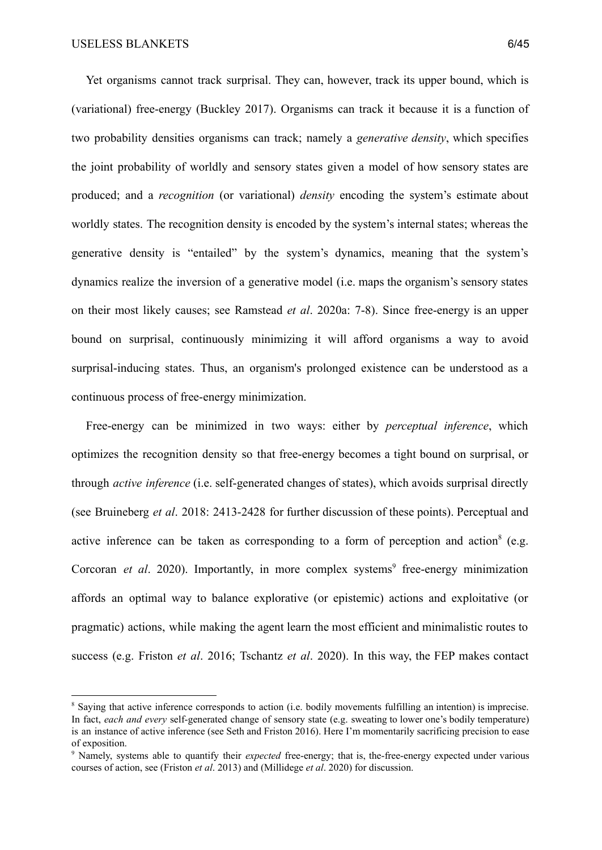Yet organisms cannot track surprisal. They can, however, track its upper bound, which is (variational) free-energy (Buckley 2017). Organisms can track it because it is a function of two probability densities organisms can track; namely a *generative density*, which specifies the joint probability of worldly and sensory states given a model of how sensory states are produced; and a *recognition* (or variational) *density* encoding the system's estimate about worldly states. The recognition density is encoded by the system's internal states; whereas the generative density is "entailed" by the system's dynamics, meaning that the system's dynamics realize the inversion of a generative model (i.e. maps the organism's sensory states on their most likely causes; see Ramstead *et al*. 2020a: 7-8). Since free-energy is an upper bound on surprisal, continuously minimizing it will afford organisms a way to avoid surprisal-inducing states. Thus, an organism's prolonged existence can be understood as a continuous process of free-energy minimization.

Free-energy can be minimized in two ways: either by *perceptual inference*, which optimizes the recognition density so that free-energy becomes a tight bound on surprisal, or through *active inference* (i.e. self-generated changes of states), which avoids surprisal directly (see Bruineberg *et al*. 2018: 2413-2428 for further discussion of these points). Perceptual and active inference can be taken as corresponding to a form of perception and action  $(e.g.,\)$ Corcoran *et al.* 2020). Importantly, in more complex systems<sup>9</sup> free-energy minimization affords an optimal way to balance explorative (or epistemic) actions and exploitative (or pragmatic) actions, while making the agent learn the most efficient and minimalistic routes to success (e.g. Friston *et al*. 2016; Tschantz *et al*. 2020). In this way, the FEP makes contact

<sup>8</sup> Saying that active inference corresponds to action (i.e. bodily movements fulfilling an intention) is imprecise. In fact, *each and every* self-generated change of sensory state (e.g. sweating to lower one's bodily temperature) is an instance of active inference (see Seth and Friston 2016). Here I'm momentarily sacrificing precision to ease of exposition.

<sup>&</sup>lt;sup>9</sup> Namely, systems able to quantify their *expected* free-energy; that is, the-free-energy expected under various courses of action, see (Friston *et al*. 2013) and (Millidege *et al*. 2020) for discussion.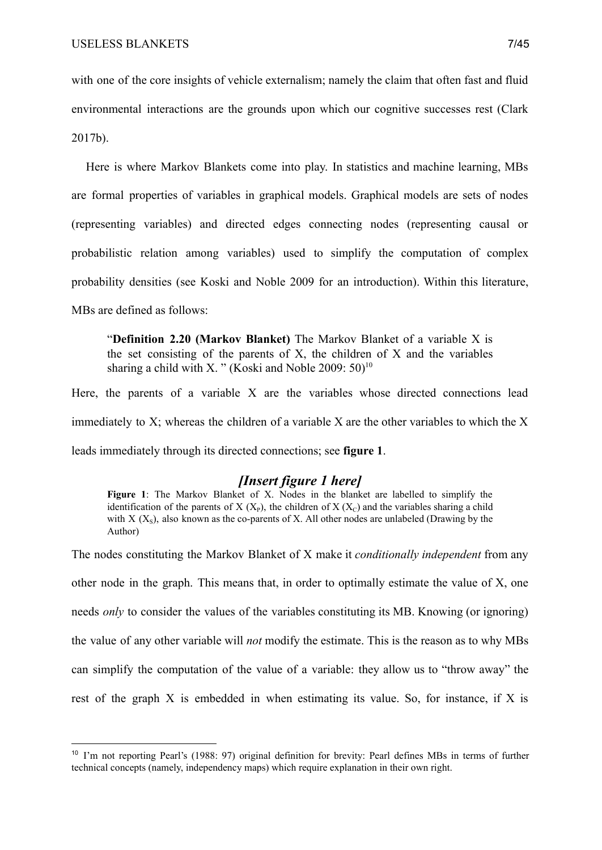with one of the core insights of vehicle externalism; namely the claim that often fast and fluid environmental interactions are the grounds upon which our cognitive successes rest (Clark 2017b).

Here is where Markov Blankets come into play. In statistics and machine learning, MBs are formal properties of variables in graphical models. Graphical models are sets of nodes (representing variables) and directed edges connecting nodes (representing causal or probabilistic relation among variables) used to simplify the computation of complex probability densities (see Koski and Noble 2009 for an introduction). Within this literature, MBs are defined as follows:

"**Definition 2.20 (Markov Blanket)** The Markov Blanket of a variable X is the set consisting of the parents of  $X$ , the children of  $X$  and the variables sharing a child with X. " (Koski and Noble 2009:  $50$ )<sup>10</sup>

Here, the parents of a variable X are the variables whose directed connections lead immediately to X; whereas the children of a variable X are the other variables to which the X leads immediately through its directed connections; see **figure 1**.

# *[Insert figure 1 here]*

**Figure** 1: The Markov Blanket of X. Nodes in the blanket are labelled to simplify the identification of the parents of  $X(X_{p})$ , the children of  $X(X_{C})$  and the variables sharing a child with  $X$  ( $X<sub>s</sub>$ ), also known as the co-parents of X. All other nodes are unlabeled (Drawing by the Author)

The nodes constituting the Markov Blanket of X make it *conditionally independent* from any other node in the graph. This means that, in order to optimally estimate the value of X, one needs *only* to consider the values of the variables constituting its MB. Knowing (or ignoring) the value of any other variable will *not* modify the estimate. This is the reason as to why MBs can simplify the computation of the value of a variable: they allow us to "throw away" the rest of the graph X is embedded in when estimating its value. So, for instance, if X is

<sup>&</sup>lt;sup>10</sup> I'm not reporting Pearl's (1988: 97) original definition for brevity: Pearl defines MBs in terms of further technical concepts (namely, independency maps) which require explanation in their own right.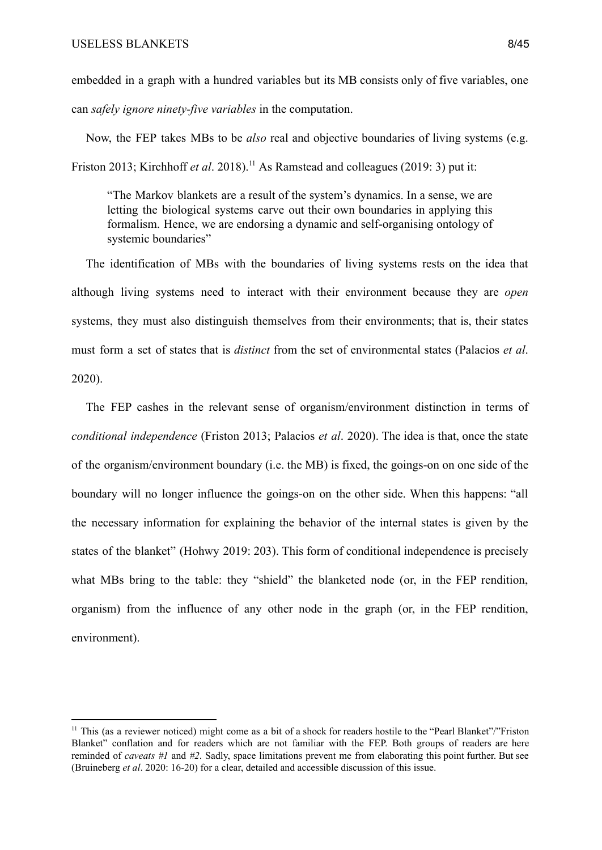embedded in a graph with a hundred variables but its MB consists only of five variables, one can *safely ignore ninety-five variables* in the computation.

Now, the FEP takes MBs to be *also* real and objective boundaries of living systems (e.g. Friston 2013; Kirchhoff *et al.* 2018).<sup>11</sup> As Ramstead and colleagues (2019: 3) put it:

"The Markov blankets are a result of the system's dynamics. In a sense, we are letting the biological systems carve out their own boundaries in applying this formalism. Hence, we are endorsing a dynamic and self-organising ontology of systemic boundaries"

The identification of MBs with the boundaries of living systems rests on the idea that although living systems need to interact with their environment because they are *open* systems, they must also distinguish themselves from their environments; that is, their states must form a set of states that is *distinct* from the set of environmental states (Palacios *et al*. 2020).

The FEP cashes in the relevant sense of organism/environment distinction in terms of *conditional independence* (Friston 2013; Palacios *et al*. 2020). The idea is that, once the state of the organism/environment boundary (i.e. the MB) is fixed, the goings-on on one side of the boundary will no longer influence the goings-on on the other side. When this happens: "all the necessary information for explaining the behavior of the internal states is given by the states of the blanket" (Hohwy 2019: 203). This form of conditional independence is precisely what MBs bring to the table: they "shield" the blanketed node (or, in the FEP rendition, organism) from the influence of any other node in the graph (or, in the FEP rendition, environment).

<sup>&</sup>lt;sup>11</sup> This (as a reviewer noticed) might come as a bit of a shock for readers hostile to the "Pearl Blanket"/"Friston Blanket" conflation and for readers which are not familiar with the FEP. Both groups of readers are here reminded of *caveats #1* and *#2*. Sadly, space limitations prevent me from elaborating this point further. But see (Bruineberg *et al*. 2020: 16-20) for a clear, detailed and accessible discussion of this issue.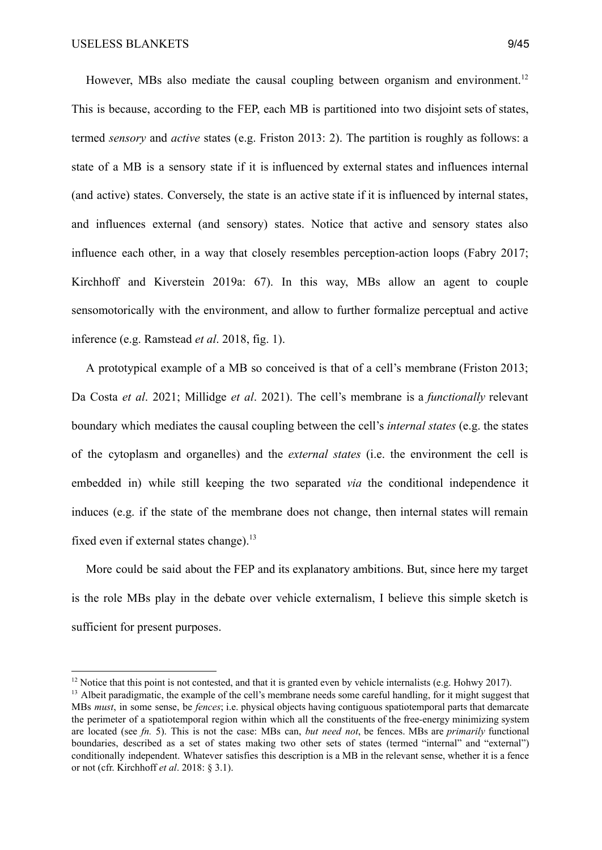However, MBs also mediate the causal coupling between organism and environment.<sup>12</sup> This is because, according to the FEP, each MB is partitioned into two disjoint sets of states, termed *sensory* and *active* states (e.g. Friston 2013: 2). The partition is roughly as follows: a state of a MB is a sensory state if it is influenced by external states and influences internal (and active) states. Conversely, the state is an active state if it is influenced by internal states, and influences external (and sensory) states. Notice that active and sensory states also influence each other, in a way that closely resembles perception-action loops (Fabry 2017; Kirchhoff and Kiverstein 2019a: 67). In this way, MBs allow an agent to couple sensomotorically with the environment, and allow to further formalize perceptual and active inference (e.g. Ramstead *et al*. 2018, fig. 1).

A prototypical example of a MB so conceived is that of a cell's membrane (Friston 2013; Da Costa *et al*. 2021; Millidge *et al*. 2021). The cell's membrane is a *functionally* relevant boundary which mediates the causal coupling between the cell's *internal states* (e.g. the states of the cytoplasm and organelles) and the *external states* (i.e. the environment the cell is embedded in) while still keeping the two separated *via* the conditional independence it induces (e.g. if the state of the membrane does not change, then internal states will remain fixed even if external states change).<sup>13</sup>

More could be said about the FEP and its explanatory ambitions. But, since here my target is the role MBs play in the debate over vehicle externalism, I believe this simple sketch is sufficient for present purposes.

 $12$  Notice that this point is not contested, and that it is granted even by vehicle internalists (e.g. Hohwy 2017).

<sup>&</sup>lt;sup>13</sup> Albeit paradigmatic, the example of the cell's membrane needs some careful handling, for it might suggest that MBs *must*, in some sense, be *fences*; i.e. physical objects having contiguous spatiotemporal parts that demarcate the perimeter of a spatiotemporal region within which all the constituents of the free-energy minimizing system are located (see *fn.* 5). This is not the case: MBs can, *but need not*, be fences. MBs are *primarily* functional boundaries, described as a set of states making two other sets of states (termed "internal" and "external") conditionally independent. Whatever satisfies this description is a MB in the relevant sense, whether it is a fence or not (cfr. Kirchhoff *et al*. 2018: § 3.1).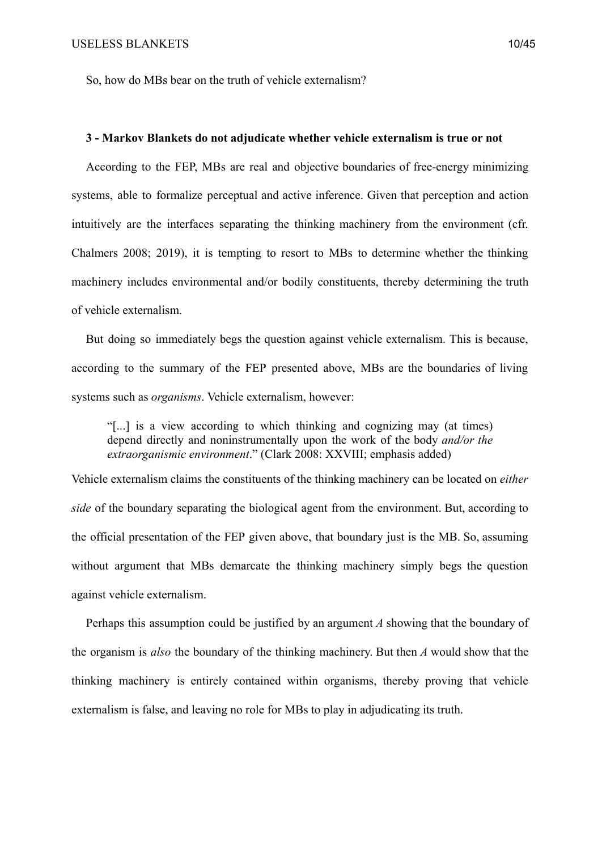So, how do MBs bear on the truth of vehicle externalism?

# **3 - Markov Blankets do not adjudicate whether vehicle externalism is true or not**

According to the FEP, MBs are real and objective boundaries of free-energy minimizing systems, able to formalize perceptual and active inference. Given that perception and action intuitively are the interfaces separating the thinking machinery from the environment (cfr. Chalmers 2008; 2019), it is tempting to resort to MBs to determine whether the thinking machinery includes environmental and/or bodily constituents, thereby determining the truth of vehicle externalism.

But doing so immediately begs the question against vehicle externalism. This is because, according to the summary of the FEP presented above, MBs are the boundaries of living systems such as *organisms*. Vehicle externalism, however:

"[...] is a view according to which thinking and cognizing may (at times) depend directly and noninstrumentally upon the work of the body *and/or the extraorganismic environment*." (Clark 2008: XXVIII; emphasis added)

Vehicle externalism claims the constituents of the thinking machinery can be located on *either side* of the boundary separating the biological agent from the environment. But, according to the official presentation of the FEP given above, that boundary just is the MB. So, assuming without argument that MBs demarcate the thinking machinery simply begs the question against vehicle externalism.

Perhaps this assumption could be justified by an argument *A* showing that the boundary of the organism is *also* the boundary of the thinking machinery. But then *A* would show that the thinking machinery is entirely contained within organisms, thereby proving that vehicle externalism is false, and leaving no role for MBs to play in adjudicating its truth.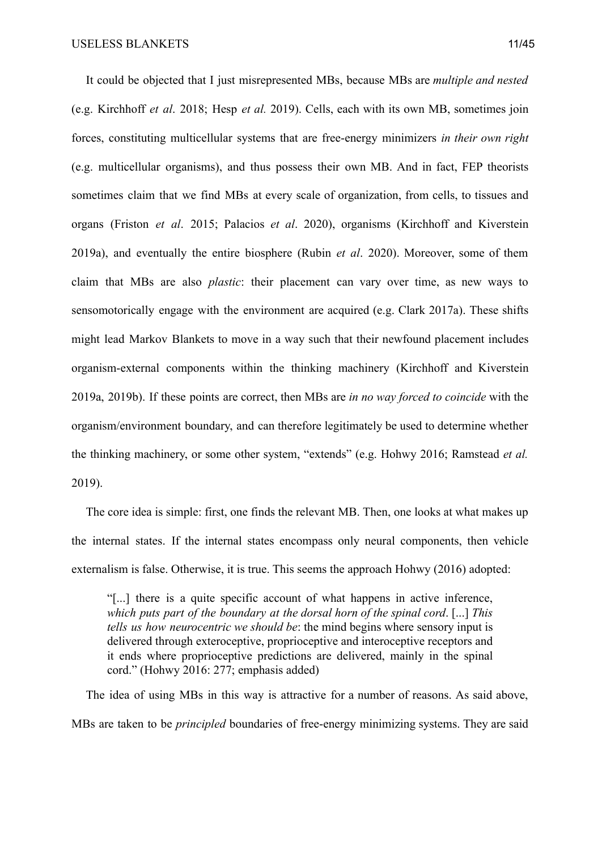It could be objected that I just misrepresented MBs, because MBs are *multiple and nested* (e.g. Kirchhoff *et al*. 2018; Hesp *et al.* 2019). Cells, each with its own MB, sometimes join forces, constituting multicellular systems that are free-energy minimizers *in their own right* (e.g. multicellular organisms), and thus possess their own MB. And in fact, FEP theorists sometimes claim that we find MBs at every scale of organization, from cells, to tissues and organs (Friston *et al*. 2015; Palacios *et al*. 2020), organisms (Kirchhoff and Kiverstein 2019a), and eventually the entire biosphere (Rubin *et al*. 2020). Moreover, some of them claim that MBs are also *plastic*: their placement can vary over time, as new ways to sensomotorically engage with the environment are acquired (e.g. Clark 2017a). These shifts might lead Markov Blankets to move in a way such that their newfound placement includes organism-external components within the thinking machinery (Kirchhoff and Kiverstein 2019a, 2019b). If these points are correct, then MBs are *in no way forced to coincide* with the organism/environment boundary, and can therefore legitimately be used to determine whether the thinking machinery, or some other system, "extends" (e.g. Hohwy 2016; Ramstead *et al.* 2019).

The core idea is simple: first, one finds the relevant MB. Then, one looks at what makes up the internal states. If the internal states encompass only neural components, then vehicle externalism is false. Otherwise, it is true. This seems the approach Hohwy (2016) adopted:

"[...] there is a quite specific account of what happens in active inference, *which puts part of the boundary at the dorsal horn of the spinal cord*. [...] *This tells us how neurocentric we should be*: the mind begins where sensory input is delivered through exteroceptive, proprioceptive and interoceptive receptors and it ends where proprioceptive predictions are delivered, mainly in the spinal cord." (Hohwy 2016: 277; emphasis added)

The idea of using MBs in this way is attractive for a number of reasons. As said above, MBs are taken to be *principled* boundaries of free-energy minimizing systems. They are said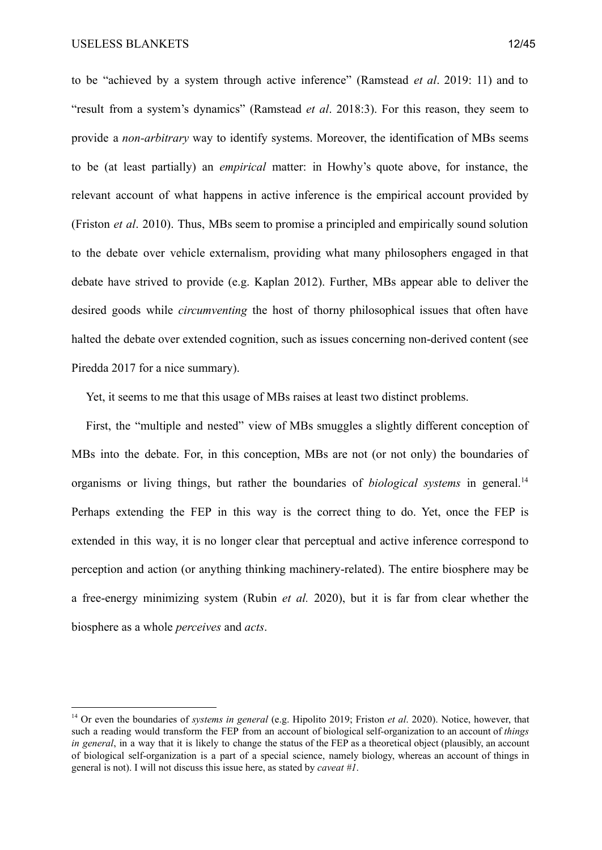to be "achieved by a system through active inference" (Ramstead *et al*. 2019: 11) and to "result from a system's dynamics" (Ramstead *et al*. 2018:3). For this reason, they seem to provide a *non-arbitrary* way to identify systems. Moreover, the identification of MBs seems to be (at least partially) an *empirical* matter: in Howhy's quote above, for instance, the relevant account of what happens in active inference is the empirical account provided by (Friston *et al*. 2010). Thus, MBs seem to promise a principled and empirically sound solution to the debate over vehicle externalism, providing what many philosophers engaged in that debate have strived to provide (e.g. Kaplan 2012). Further, MBs appear able to deliver the desired goods while *circumventing* the host of thorny philosophical issues that often have halted the debate over extended cognition, such as issues concerning non-derived content (see Piredda 2017 for a nice summary).

Yet, it seems to me that this usage of MBs raises at least two distinct problems.

First, the "multiple and nested" view of MBs smuggles a slightly different conception of MBs into the debate. For, in this conception, MBs are not (or not only) the boundaries of organisms or living things, but rather the boundaries of *biological systems* in general.<sup>14</sup> Perhaps extending the FEP in this way is the correct thing to do. Yet, once the FEP is extended in this way, it is no longer clear that perceptual and active inference correspond to perception and action (or anything thinking machinery-related). The entire biosphere may be a free-energy minimizing system (Rubin *et al.* 2020), but it is far from clear whether the biosphere as a whole *perceives* and *acts*.

<sup>14</sup> Or even the boundaries of *systems in general* (e.g. Hipolito 2019; Friston *et al*. 2020). Notice, however, that such a reading would transform the FEP from an account of biological self-organization to an account of *things in general*, in a way that it is likely to change the status of the FEP as a theoretical object (plausibly, an account of biological self-organization is a part of a special science, namely biology, whereas an account of things in general is not). I will not discuss this issue here, as stated by *caveat #1*.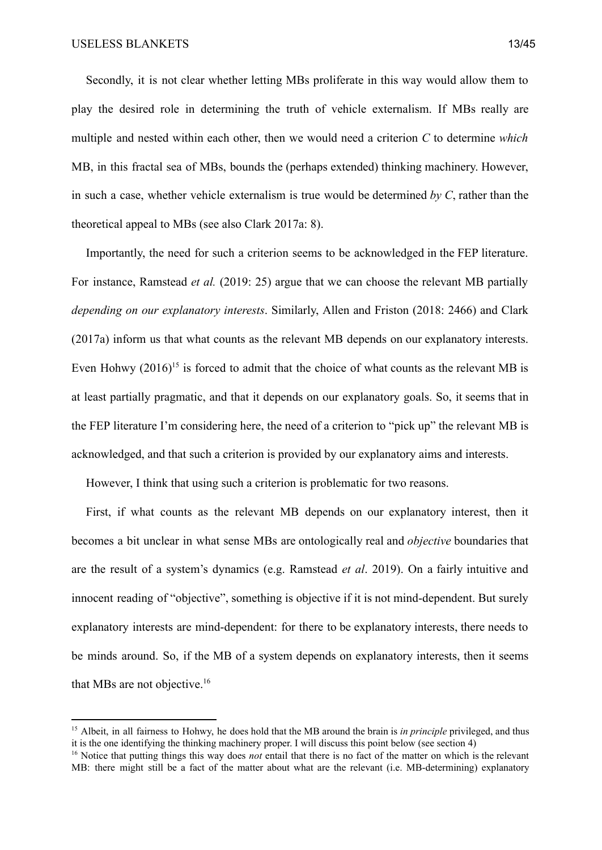Secondly, it is not clear whether letting MBs proliferate in this way would allow them to play the desired role in determining the truth of vehicle externalism. If MBs really are multiple and nested within each other, then we would need a criterion *C* to determine *which* MB, in this fractal sea of MBs, bounds the (perhaps extended) thinking machinery. However, in such a case, whether vehicle externalism is true would be determined *by C*, rather than the theoretical appeal to MBs (see also Clark 2017a: 8).

Importantly, the need for such a criterion seems to be acknowledged in the FEP literature. For instance, Ramstead *et al.* (2019: 25) argue that we can choose the relevant MB partially *depending on our explanatory interests*. Similarly, Allen and Friston (2018: 2466) and Clark (2017a) inform us that what counts as the relevant MB depends on our explanatory interests. Even Hohwy  $(2016)^{15}$  is forced to admit that the choice of what counts as the relevant MB is at least partially pragmatic, and that it depends on our explanatory goals. So, it seems that in the FEP literature I'm considering here, the need of a criterion to "pick up" the relevant MB is acknowledged, and that such a criterion is provided by our explanatory aims and interests.

However, I think that using such a criterion is problematic for two reasons.

First, if what counts as the relevant MB depends on our explanatory interest, then it becomes a bit unclear in what sense MBs are ontologically real and *objective* boundaries that are the result of a system's dynamics (e.g. Ramstead *et al*. 2019). On a fairly intuitive and innocent reading of "objective", something is objective if it is not mind-dependent. But surely explanatory interests are mind-dependent: for there to be explanatory interests, there needs to be minds around. So, if the MB of a system depends on explanatory interests, then it seems that MBs are not objective.<sup>16</sup>

<sup>&</sup>lt;sup>15</sup> Albeit, in all fairness to Hohwy, he does hold that the MB around the brain is *in principle* privileged, and thus it is the one identifying the thinking machinery proper. I will discuss this point below (see section 4)

<sup>&</sup>lt;sup>16</sup> Notice that putting things this way does *not* entail that there is no fact of the matter on which is the relevant MB: there might still be a fact of the matter about what are the relevant (i.e. MB-determining) explanatory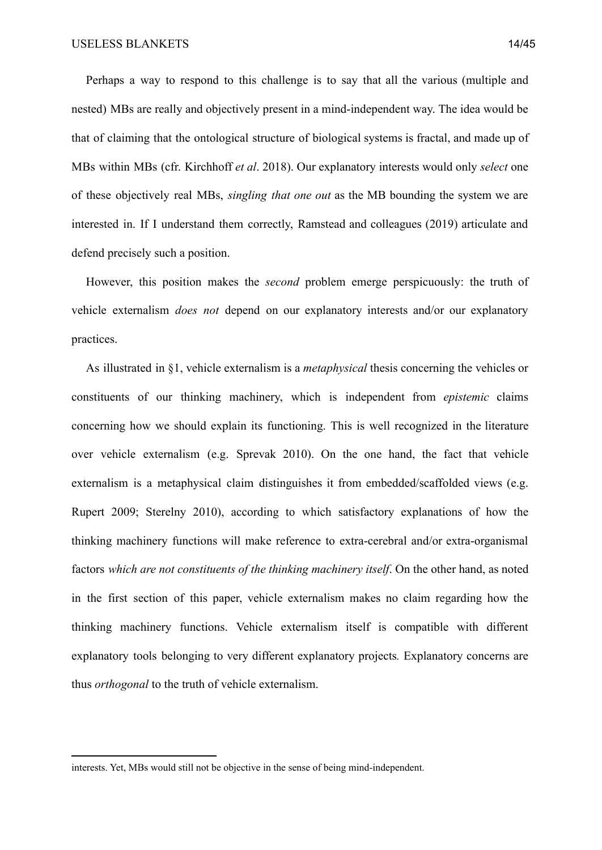Perhaps a way to respond to this challenge is to say that all the various (multiple and nested) MBs are really and objectively present in a mind-independent way. The idea would be that of claiming that the ontological structure of biological systems is fractal, and made up of MBs within MBs (cfr. Kirchhoff *et al*. 2018). Our explanatory interests would only *select* one of these objectively real MBs, *singling that one out* as the MB bounding the system we are interested in. If I understand them correctly, Ramstead and colleagues (2019) articulate and defend precisely such a position.

However, this position makes the *second* problem emerge perspicuously: the truth of vehicle externalism *does not* depend on our explanatory interests and/or our explanatory practices.

As illustrated in §1, vehicle externalism is a *metaphysical* thesis concerning the vehicles or constituents of our thinking machinery, which is independent from *epistemic* claims concerning how we should explain its functioning. This is well recognized in the literature over vehicle externalism (e.g. Sprevak 2010). On the one hand, the fact that vehicle externalism is a metaphysical claim distinguishes it from embedded/scaffolded views (e.g. Rupert 2009; Sterelny 2010), according to which satisfactory explanations of how the thinking machinery functions will make reference to extra-cerebral and/or extra-organismal factors *which are not constituents of the thinking machinery itself*. On the other hand, as noted in the first section of this paper, vehicle externalism makes no claim regarding how the thinking machinery functions. Vehicle externalism itself is compatible with different explanatory tools belonging to very different explanatory projects*.* Explanatory concerns are thus *orthogonal* to the truth of vehicle externalism.

interests. Yet, MBs would still not be objective in the sense of being mind-independent.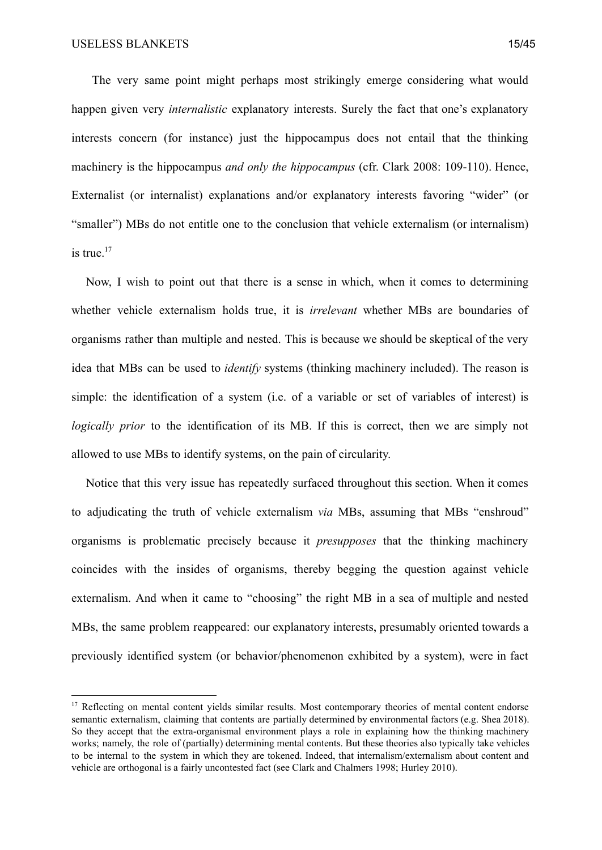The very same point might perhaps most strikingly emerge considering what would happen given very *internalistic* explanatory interests. Surely the fact that one's explanatory interests concern (for instance) just the hippocampus does not entail that the thinking machinery is the hippocampus *and only the hippocampus* (cfr. Clark 2008: 109-110). Hence, Externalist (or internalist) explanations and/or explanatory interests favoring "wider" (or "smaller") MBs do not entitle one to the conclusion that vehicle externalism (or internalism) is true. $17$ 

Now, I wish to point out that there is a sense in which, when it comes to determining whether vehicle externalism holds true, it is *irrelevant* whether MBs are boundaries of organisms rather than multiple and nested. This is because we should be skeptical of the very idea that MBs can be used to *identify* systems (thinking machinery included). The reason is simple: the identification of a system (i.e. of a variable or set of variables of interest) is *logically prior* to the identification of its MB. If this is correct, then we are simply not allowed to use MBs to identify systems, on the pain of circularity.

Notice that this very issue has repeatedly surfaced throughout this section. When it comes to adjudicating the truth of vehicle externalism *via* MBs, assuming that MBs "enshroud" organisms is problematic precisely because it *presupposes* that the thinking machinery coincides with the insides of organisms, thereby begging the question against vehicle externalism. And when it came to "choosing" the right MB in a sea of multiple and nested MBs, the same problem reappeared: our explanatory interests, presumably oriented towards a previously identified system (or behavior/phenomenon exhibited by a system), were in fact

<sup>&</sup>lt;sup>17</sup> Reflecting on mental content yields similar results. Most contemporary theories of mental content endorse semantic externalism, claiming that contents are partially determined by environmental factors (e.g. Shea 2018). So they accept that the extra-organismal environment plays a role in explaining how the thinking machinery works; namely, the role of (partially) determining mental contents. But these theories also typically take vehicles to be internal to the system in which they are tokened. Indeed, that internalism/externalism about content and vehicle are orthogonal is a fairly uncontested fact (see Clark and Chalmers 1998; Hurley 2010).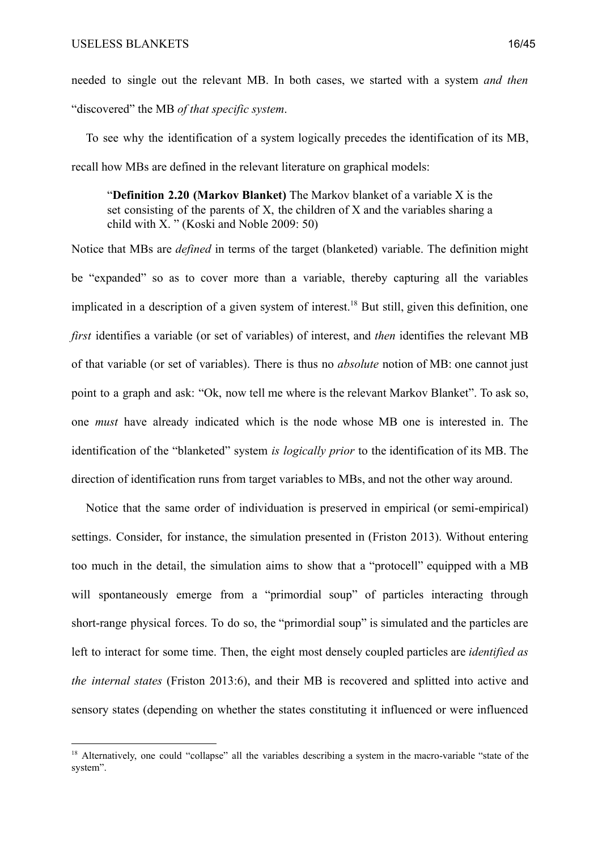needed to single out the relevant MB. In both cases, we started with a system *and then* "discovered" the MB *of that specific system*.

To see why the identification of a system logically precedes the identification of its MB, recall how MBs are defined in the relevant literature on graphical models:

"**Definition 2.20 (Markov Blanket)** The Markov blanket of a variable X is the set consisting of the parents of X, the children of X and the variables sharing a child with X. " (Koski and Noble 2009: 50)

Notice that MBs are *defined* in terms of the target (blanketed) variable. The definition might be "expanded" so as to cover more than a variable, thereby capturing all the variables implicated in a description of a given system of interest.<sup>18</sup> But still, given this definition, one *first* identifies a variable (or set of variables) of interest, and *then* identifies the relevant MB of that variable (or set of variables). There is thus no *absolute* notion of MB: one cannot just point to a graph and ask: "Ok, now tell me where is the relevant Markov Blanket". To ask so, one *must* have already indicated which is the node whose MB one is interested in. The identification of the "blanketed" system *is logically prior* to the identification of its MB. The direction of identification runs from target variables to MBs, and not the other way around.

Notice that the same order of individuation is preserved in empirical (or semi-empirical) settings. Consider, for instance, the simulation presented in (Friston 2013). Without entering too much in the detail, the simulation aims to show that a "protocell" equipped with a MB will spontaneously emerge from a "primordial soup" of particles interacting through short-range physical forces. To do so, the "primordial soup" is simulated and the particles are left to interact for some time. Then, the eight most densely coupled particles are *identified as the internal states* (Friston 2013:6), and their MB is recovered and splitted into active and sensory states (depending on whether the states constituting it influenced or were influenced

<sup>&</sup>lt;sup>18</sup> Alternatively, one could "collapse" all the variables describing a system in the macro-variable "state of the system".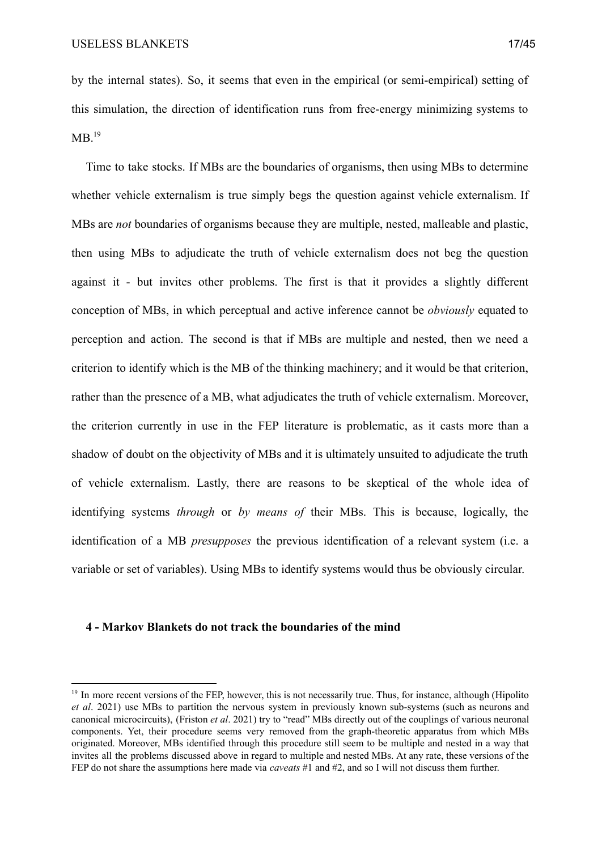by the internal states). So, it seems that even in the empirical (or semi-empirical) setting of this simulation, the direction of identification runs from free-energy minimizing systems to  $MB.<sup>19</sup>$ 

Time to take stocks. If MBs are the boundaries of organisms, then using MBs to determine whether vehicle externalism is true simply begs the question against vehicle externalism. If MBs are *not* boundaries of organisms because they are multiple, nested, malleable and plastic, then using MBs to adjudicate the truth of vehicle externalism does not beg the question against it - but invites other problems. The first is that it provides a slightly different conception of MBs, in which perceptual and active inference cannot be *obviously* equated to perception and action. The second is that if MBs are multiple and nested, then we need a criterion to identify which is the MB of the thinking machinery; and it would be that criterion, rather than the presence of a MB, what adjudicates the truth of vehicle externalism. Moreover, the criterion currently in use in the FEP literature is problematic, as it casts more than a shadow of doubt on the objectivity of MBs and it is ultimately unsuited to adjudicate the truth of vehicle externalism. Lastly, there are reasons to be skeptical of the whole idea of identifying systems *through* or *by means of* their MBs. This is because, logically, the identification of a MB *presupposes* the previous identification of a relevant system (i.e. a variable or set of variables). Using MBs to identify systems would thus be obviously circular.

## **4 - Markov Blankets do not track the boundaries of the mind**

<sup>&</sup>lt;sup>19</sup> In more recent versions of the FEP, however, this is not necessarily true. Thus, for instance, although (Hipolito *et al*. 2021) use MBs to partition the nervous system in previously known sub-systems (such as neurons and canonical microcircuits), (Friston *et al*. 2021) try to "read" MBs directly out of the couplings of various neuronal components. Yet, their procedure seems very removed from the graph-theoretic apparatus from which MBs originated. Moreover, MBs identified through this procedure still seem to be multiple and nested in a way that invites all the problems discussed above in regard to multiple and nested MBs. At any rate, these versions of the FEP do not share the assumptions here made via *caveats* #1 and #2, and so I will not discuss them further.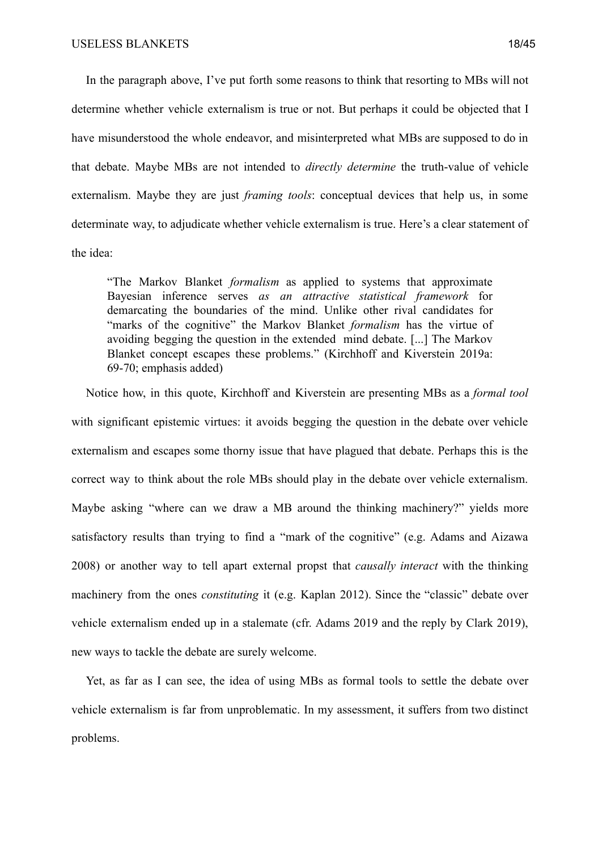In the paragraph above, I've put forth some reasons to think that resorting to MBs will not determine whether vehicle externalism is true or not. But perhaps it could be objected that I have misunderstood the whole endeavor, and misinterpreted what MBs are supposed to do in that debate. Maybe MBs are not intended to *directly determine* the truth-value of vehicle externalism. Maybe they are just *framing tools*: conceptual devices that help us, in some determinate way, to adjudicate whether vehicle externalism is true. Here's a clear statement of the idea:

"The Markov Blanket *formalism* as applied to systems that approximate Bayesian inference serves *as an attractive statistical framework* for demarcating the boundaries of the mind. Unlike other rival candidates for "marks of the cognitive" the Markov Blanket *formalism* has the virtue of avoiding begging the question in the extended mind debate. [...] The Markov Blanket concept escapes these problems." (Kirchhoff and Kiverstein 2019a: 69-70; emphasis added)

Notice how, in this quote, Kirchhoff and Kiverstein are presenting MBs as a *formal tool* with significant epistemic virtues: it avoids begging the question in the debate over vehicle externalism and escapes some thorny issue that have plagued that debate. Perhaps this is the correct way to think about the role MBs should play in the debate over vehicle externalism. Maybe asking "where can we draw a MB around the thinking machinery?" yields more satisfactory results than trying to find a "mark of the cognitive" (e.g. Adams and Aizawa 2008) or another way to tell apart external propst that *causally interact* with the thinking machinery from the ones *constituting* it (e.g. Kaplan 2012). Since the "classic" debate over vehicle externalism ended up in a stalemate (cfr. Adams 2019 and the reply by Clark 2019), new ways to tackle the debate are surely welcome.

Yet, as far as I can see, the idea of using MBs as formal tools to settle the debate over vehicle externalism is far from unproblematic. In my assessment, it suffers from two distinct problems.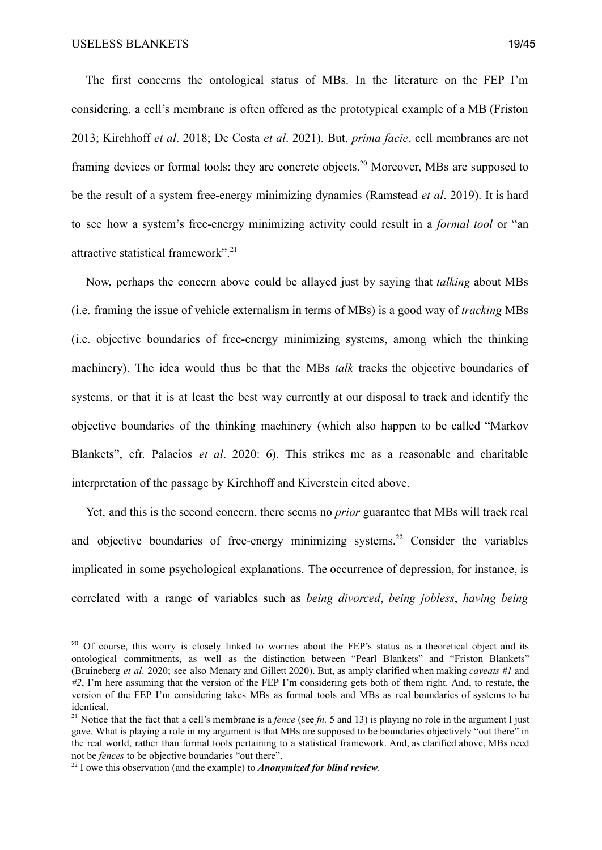The first concerns the ontological status of MBs. In the literature on the FEP I'm considering, a cell's membrane is often offered as the prototypical example of a MB (Friston 2013; Kirchhoff *et al*. 2018; De Costa *et al*. 2021). But, *prima facie*, cell membranes are not framing devices or formal tools: they are concrete objects.<sup>20</sup> Moreover, MBs are supposed to be the result of a system free-energy minimizing dynamics (Ramstead *et al*. 2019). It is hard to see how a system's free-energy minimizing activity could result in a *formal tool* or "an attractive statistical framework".<sup>21</sup>

Now, perhaps the concern above could be allayed just by saying that *talking* about MBs (i.e. framing the issue of vehicle externalism in terms of MBs) is a good way of *tracking* MBs (i.e. objective boundaries of free-energy minimizing systems, among which the thinking machinery). The idea would thus be that the MBs *talk* tracks the objective boundaries of systems, or that it is at least the best way currently at our disposal to track and identify the objective boundaries of the thinking machinery (which also happen to be called "Markov Blankets", cfr. Palacios *et al*. 2020: 6). This strikes me as a reasonable and charitable interpretation of the passage by Kirchhoff and Kiverstein cited above.

Yet, and this is the second concern, there seems no *prior* guarantee that MBs will track real and objective boundaries of free-energy minimizing systems.<sup>22</sup> Consider the variables implicated in some psychological explanations. The occurrence of depression, for instance, is correlated with a range of variables such as *being divorced*, *being jobless*, *having being*

<sup>&</sup>lt;sup>20</sup> Of course, this worry is closely linked to worries about the FEP's status as a theoretical object and its ontological commitments, as well as the distinction between "Pearl Blankets" and "Friston Blankets" (Bruineberg *et al*. 2020; see also Menary and Gillett 2020). But, as amply clarified when making *caveats #1* and *#2*, I'm here assuming that the version of the FEP I'm considering gets both of them right. And, to restate, the version of the FEP I'm considering takes MBs as formal tools and MBs as real boundaries of systems to be identical.

<sup>&</sup>lt;sup>21</sup> Notice that the fact that a cell's membrane is a *fence* (see *fn*. 5 and 13) is playing no role in the argument I just gave. What is playing a role in my argument is that MBs are supposed to be boundaries objectively "out there" in the real world, rather than formal tools pertaining to a statistical framework. And, as clarified above, MBs need not be *fences* to be objective boundaries "out there".

<sup>22</sup> I owe this observation (and the example) to *Anonymized for blind review*.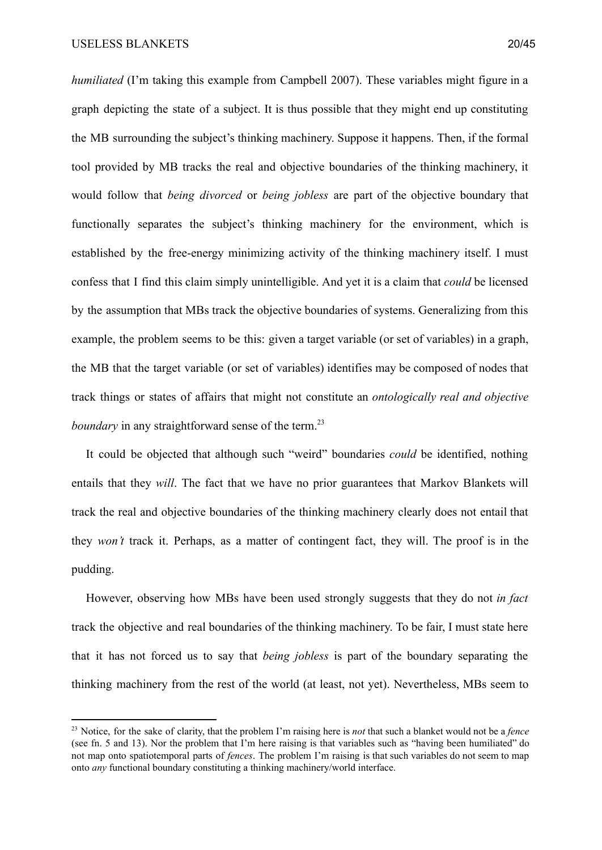*humiliated* (I'm taking this example from Campbell 2007). These variables might figure in a graph depicting the state of a subject. It is thus possible that they might end up constituting the MB surrounding the subject's thinking machinery. Suppose it happens. Then, if the formal tool provided by MB tracks the real and objective boundaries of the thinking machinery, it would follow that *being divorced* or *being jobless* are part of the objective boundary that functionally separates the subject's thinking machinery for the environment, which is established by the free-energy minimizing activity of the thinking machinery itself. I must confess that I find this claim simply unintelligible. And yet it is a claim that *could* be licensed by the assumption that MBs track the objective boundaries of systems. Generalizing from this example, the problem seems to be this: given a target variable (or set of variables) in a graph, the MB that the target variable (or set of variables) identifies may be composed of nodes that track things or states of affairs that might not constitute an *ontologically real and objective boundary* in any straightforward sense of the term.<sup>23</sup>

It could be objected that although such "weird" boundaries *could* be identified, nothing entails that they *will*. The fact that we have no prior guarantees that Markov Blankets will track the real and objective boundaries of the thinking machinery clearly does not entail that they *won't* track it. Perhaps, as a matter of contingent fact, they will. The proof is in the pudding.

However, observing how MBs have been used strongly suggests that they do not *in fact* track the objective and real boundaries of the thinking machinery. To be fair, I must state here that it has not forced us to say that *being jobless* is part of the boundary separating the thinking machinery from the rest of the world (at least, not yet). Nevertheless, MBs seem to

<sup>23</sup> Notice, for the sake of clarity, that the problem I'm raising here is *not* that such a blanket would not be a *fence* (see fn. 5 and 13). Nor the problem that I'm here raising is that variables such as "having been humiliated" do not map onto spatiotemporal parts of *fences*. The problem I'm raising is that such variables do not seem to map onto *any* functional boundary constituting a thinking machinery/world interface.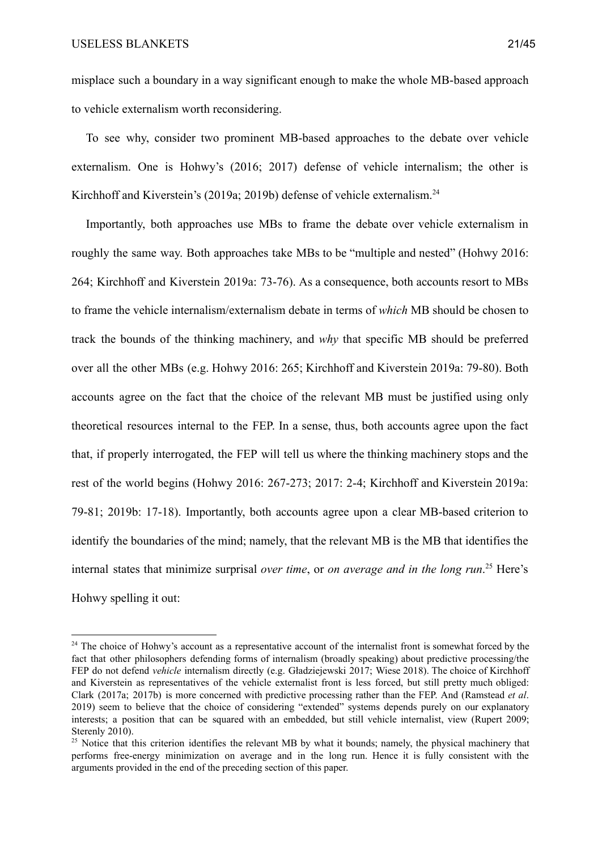misplace such a boundary in a way significant enough to make the whole MB-based approach to vehicle externalism worth reconsidering.

To see why, consider two prominent MB-based approaches to the debate over vehicle externalism. One is Hohwy's (2016; 2017) defense of vehicle internalism; the other is Kirchhoff and Kiverstein's (2019a; 2019b) defense of vehicle externalism.<sup>24</sup>

Importantly, both approaches use MBs to frame the debate over vehicle externalism in roughly the same way. Both approaches take MBs to be "multiple and nested" (Hohwy 2016: 264; Kirchhoff and Kiverstein 2019a: 73-76). As a consequence, both accounts resort to MBs to frame the vehicle internalism/externalism debate in terms of *which* MB should be chosen to track the bounds of the thinking machinery, and *why* that specific MB should be preferred over all the other MBs (e.g. Hohwy 2016: 265; Kirchhoff and Kiverstein 2019a: 79-80). Both accounts agree on the fact that the choice of the relevant MB must be justified using only theoretical resources internal to the FEP. In a sense, thus, both accounts agree upon the fact that, if properly interrogated, the FEP will tell us where the thinking machinery stops and the rest of the world begins (Hohwy 2016: 267-273; 2017: 2-4; Kirchhoff and Kiverstein 2019a: 79-81; 2019b: 17-18). Importantly, both accounts agree upon a clear MB-based criterion to identify the boundaries of the mind; namely, that the relevant MB is the MB that identifies the internal states that minimize surprisal *over time*, or *on average and in the long run*.<sup>25</sup> Here's Hohwy spelling it out:

<sup>&</sup>lt;sup>24</sup> The choice of Hohwy's account as a representative account of the internalist front is somewhat forced by the fact that other philosophers defending forms of internalism (broadly speaking) about predictive processing/the FEP do not defend *vehicle* internalism directly (e.g. Gładziejewski 2017; Wiese 2018). The choice of Kirchhoff and Kiverstein as representatives of the vehicle externalist front is less forced, but still pretty much obliged: Clark (2017a; 2017b) is more concerned with predictive processing rather than the FEP. And (Ramstead *et al*. 2019) seem to believe that the choice of considering "extended" systems depends purely on our explanatory interests; a position that can be squared with an embedded, but still vehicle internalist, view (Rupert 2009; Sterenly 2010).

<sup>&</sup>lt;sup>25</sup> Notice that this criterion identifies the relevant MB by what it bounds; namely, the physical machinery that performs free-energy minimization on average and in the long run. Hence it is fully consistent with the arguments provided in the end of the preceding section of this paper.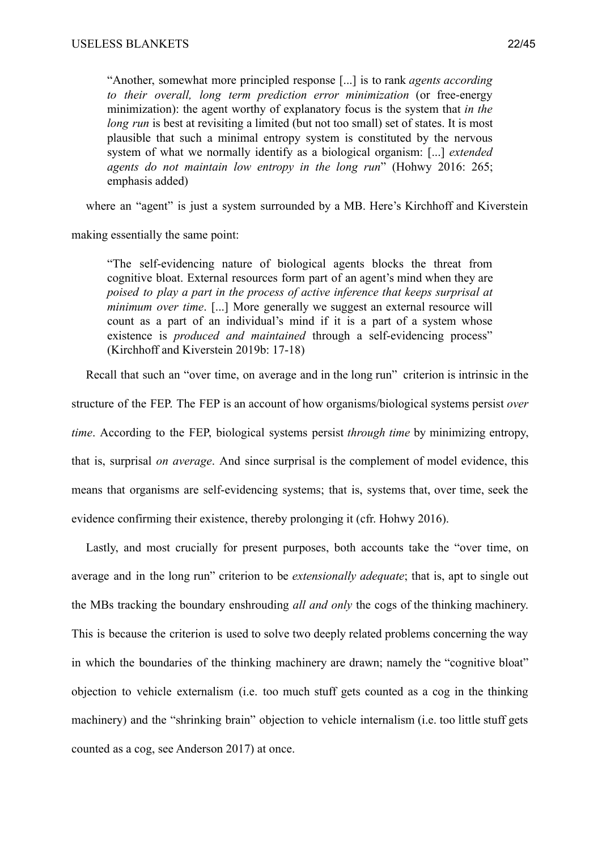"Another, somewhat more principled response [...] is to rank *agents according to their overall, long term prediction error minimization* (or free-energy minimization): the agent worthy of explanatory focus is the system that *in the long run* is best at revisiting a limited (but not too small) set of states. It is most plausible that such a minimal entropy system is constituted by the nervous system of what we normally identify as a biological organism: [...] *extended agents do not maintain low entropy in the long run*" (Hohwy 2016: 265; emphasis added)

where an "agent" is just a system surrounded by a MB. Here's Kirchhoff and Kiverstein

making essentially the same point:

"The self-evidencing nature of biological agents blocks the threat from cognitive bloat. External resources form part of an agent's mind when they are *poised to play a part in the process of active inference that keeps surprisal at minimum over time*. [...] More generally we suggest an external resource will count as a part of an individual's mind if it is a part of a system whose existence is *produced and maintained* through a self-evidencing process" (Kirchhoff and Kiverstein 2019b: 17-18)

Recall that such an "over time, on average and in the long run" criterion is intrinsic in the

structure of the FEP. The FEP is an account of how organisms/biological systems persist *over time*. According to the FEP, biological systems persist *through time* by minimizing entropy, that is, surprisal *on average*. And since surprisal is the complement of model evidence, this means that organisms are self-evidencing systems; that is, systems that, over time, seek the evidence confirming their existence, thereby prolonging it (cfr. Hohwy 2016).

Lastly, and most crucially for present purposes, both accounts take the "over time, on average and in the long run" criterion to be *extensionally adequate*; that is, apt to single out the MBs tracking the boundary enshrouding *all and only* the cogs of the thinking machinery. This is because the criterion is used to solve two deeply related problems concerning the way in which the boundaries of the thinking machinery are drawn; namely the "cognitive bloat" objection to vehicle externalism (i.e. too much stuff gets counted as a cog in the thinking machinery) and the "shrinking brain" objection to vehicle internalism (i.e. too little stuff gets counted as a cog, see Anderson 2017) at once.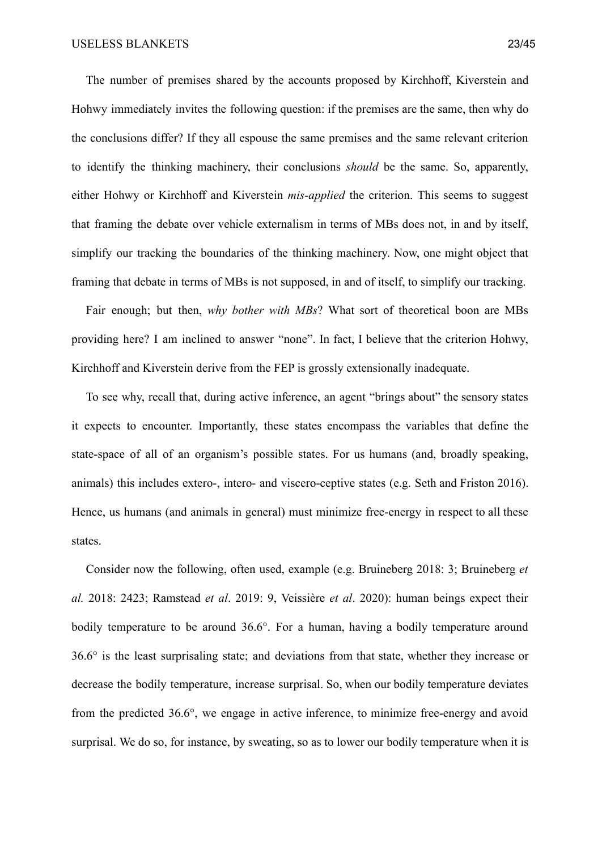The number of premises shared by the accounts proposed by Kirchhoff, Kiverstein and Hohwy immediately invites the following question: if the premises are the same, then why do the conclusions differ? If they all espouse the same premises and the same relevant criterion to identify the thinking machinery, their conclusions *should* be the same. So, apparently, either Hohwy or Kirchhoff and Kiverstein *mis-applied* the criterion. This seems to suggest that framing the debate over vehicle externalism in terms of MBs does not, in and by itself, simplify our tracking the boundaries of the thinking machinery. Now, one might object that framing that debate in terms of MBs is not supposed, in and of itself, to simplify our tracking.

Fair enough; but then, *why bother with MBs*? What sort of theoretical boon are MBs providing here? I am inclined to answer "none". In fact, I believe that the criterion Hohwy, Kirchhoff and Kiverstein derive from the FEP is grossly extensionally inadequate.

To see why, recall that, during active inference, an agent "brings about" the sensory states it expects to encounter. Importantly, these states encompass the variables that define the state-space of all of an organism's possible states. For us humans (and, broadly speaking, animals) this includes extero-, intero- and viscero-ceptive states (e.g. Seth and Friston 2016). Hence, us humans (and animals in general) must minimize free-energy in respect to all these states.

Consider now the following, often used, example (e.g. Bruineberg 2018: 3; Bruineberg *et al.* 2018: 2423; Ramstead *et al*. 2019: 9, Veissière *et al*. 2020): human beings expect their bodily temperature to be around 36.6°. For a human, having a bodily temperature around 36.6° is the least surprisaling state; and deviations from that state, whether they increase or decrease the bodily temperature, increase surprisal. So, when our bodily temperature deviates from the predicted 36.6°, we engage in active inference, to minimize free-energy and avoid surprisal. We do so, for instance, by sweating, so as to lower our bodily temperature when it is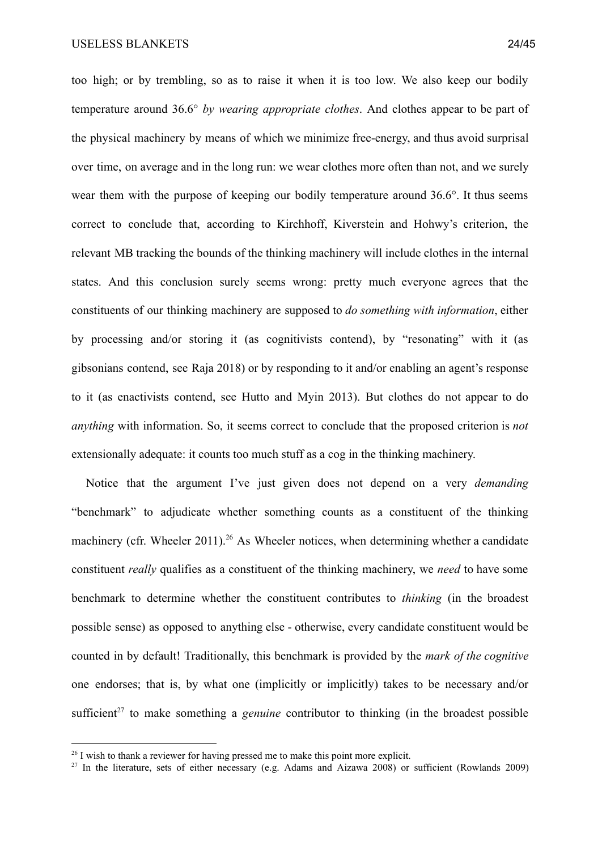too high; or by trembling, so as to raise it when it is too low. We also keep our bodily temperature around 36.6° *by wearing appropriate clothes*. And clothes appear to be part of the physical machinery by means of which we minimize free-energy, and thus avoid surprisal over time, on average and in the long run: we wear clothes more often than not, and we surely wear them with the purpose of keeping our bodily temperature around 36.6°. It thus seems correct to conclude that, according to Kirchhoff, Kiverstein and Hohwy's criterion, the relevant MB tracking the bounds of the thinking machinery will include clothes in the internal states. And this conclusion surely seems wrong: pretty much everyone agrees that the constituents of our thinking machinery are supposed to *do something with information*, either by processing and/or storing it (as cognitivists contend), by "resonating" with it (as gibsonians contend, see Raja 2018) or by responding to it and/or enabling an agent's response to it (as enactivists contend, see Hutto and Myin 2013). But clothes do not appear to do *anything* with information. So, it seems correct to conclude that the proposed criterion is *not* extensionally adequate: it counts too much stuff as a cog in the thinking machinery.

Notice that the argument I've just given does not depend on a very *demanding* "benchmark" to adjudicate whether something counts as a constituent of the thinking machinery (cfr. Wheeler 2011).<sup>26</sup> As Wheeler notices, when determining whether a candidate constituent *really* qualifies as a constituent of the thinking machinery, we *need* to have some benchmark to determine whether the constituent contributes to *thinking* (in the broadest possible sense) as opposed to anything else - otherwise, every candidate constituent would be counted in by default! Traditionally, this benchmark is provided by the *mark of the cognitive* one endorses; that is, by what one (implicitly or implicitly) takes to be necessary and/or sufficient<sup>27</sup> to make something a *genuine* contributor to thinking (in the broadest possible

<sup>&</sup>lt;sup>26</sup> I wish to thank a reviewer for having pressed me to make this point more explicit.

 $27$  In the literature, sets of either necessary (e.g. Adams and Aizawa 2008) or sufficient (Rowlands 2009)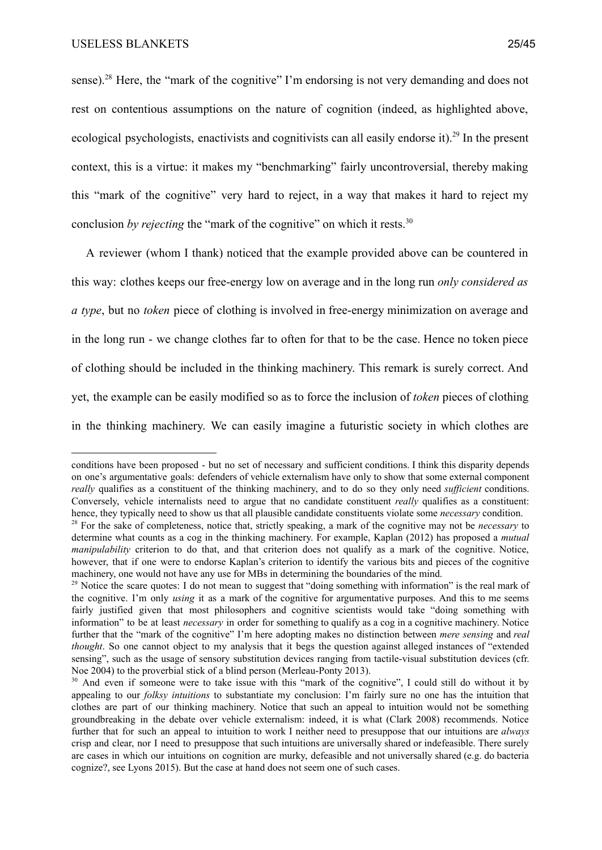sense).<sup>28</sup> Here, the "mark of the cognitive" I'm endorsing is not very demanding and does not rest on contentious assumptions on the nature of cognition (indeed, as highlighted above, ecological psychologists, enactivists and cognitivists can all easily endorse it).<sup>29</sup> In the present context, this is a virtue: it makes my "benchmarking" fairly uncontroversial, thereby making this "mark of the cognitive" very hard to reject, in a way that makes it hard to reject my conclusion *by rejecting* the "mark of the cognitive" on which it rests.<sup>30</sup>

A reviewer (whom I thank) noticed that the example provided above can be countered in this way: clothes keeps our free-energy low on average and in the long run *only considered as a type*, but no *token* piece of clothing is involved in free-energy minimization on average and in the long run - we change clothes far to often for that to be the case. Hence no token piece of clothing should be included in the thinking machinery. This remark is surely correct. And yet, the example can be easily modified so as to force the inclusion of *token* pieces of clothing in the thinking machinery. We can easily imagine a futuristic society in which clothes are

conditions have been proposed - but no set of necessary and sufficient conditions. I think this disparity depends on one's argumentative goals: defenders of vehicle externalism have only to show that some external component *really* qualifies as a constituent of the thinking machinery, and to do so they only need *sufficient* conditions. Conversely, vehicle internalists need to argue that no candidate constituent *really* qualifies as a constituent: hence, they typically need to show us that all plausible candidate constituents violate some *necessary* condition.

<sup>28</sup> For the sake of completeness, notice that, strictly speaking, a mark of the cognitive may not be *necessary* to determine what counts as a cog in the thinking machinery. For example, Kaplan (2012) has proposed a *mutual manipulability* criterion to do that, and that criterion does not qualify as a mark of the cognitive. Notice, however, that if one were to endorse Kaplan's criterion to identify the various bits and pieces of the cognitive machinery, one would not have any use for MBs in determining the boundaries of the mind.

 $29$  Notice the scare quotes: I do not mean to suggest that "doing something with information" is the real mark of the cognitive. I'm only *using* it as a mark of the cognitive for argumentative purposes. And this to me seems fairly justified given that most philosophers and cognitive scientists would take "doing something with information" to be at least *necessary* in order for something to qualify as a cog in a cognitive machinery. Notice further that the "mark of the cognitive" I'm here adopting makes no distinction between *mere sensing* and *real thought*. So one cannot object to my analysis that it begs the question against alleged instances of "extended" sensing", such as the usage of sensory substitution devices ranging from tactile-visual substitution devices (cfr. Noe 2004) to the proverbial stick of a blind person (Merleau-Ponty 2013).

<sup>&</sup>lt;sup>30</sup> And even if someone were to take issue with this "mark of the cognitive", I could still do without it by appealing to our *folksy intuitions* to substantiate my conclusion: I'm fairly sure no one has the intuition that clothes are part of our thinking machinery. Notice that such an appeal to intuition would not be something groundbreaking in the debate over vehicle externalism: indeed, it is what (Clark 2008) recommends. Notice further that for such an appeal to intuition to work I neither need to presuppose that our intuitions are *always* crisp and clear, nor I need to presuppose that such intuitions are universally shared or indefeasible. There surely are cases in which our intuitions on cognition are murky, defeasible and not universally shared (e.g. do bacteria cognize?, see Lyons 2015). But the case at hand does not seem one of such cases.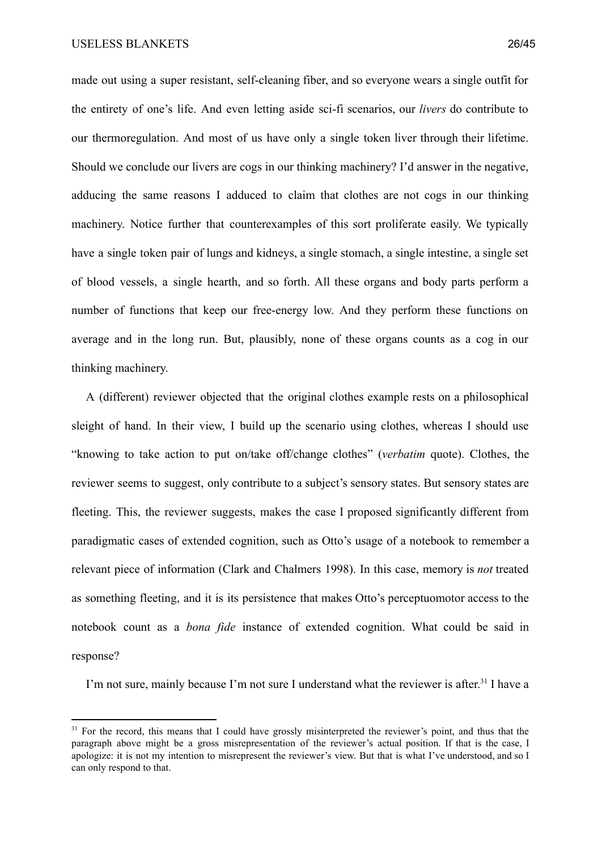made out using a super resistant, self-cleaning fiber, and so everyone wears a single outfit for the entirety of one's life. And even letting aside sci-fi scenarios, our *livers* do contribute to our thermoregulation. And most of us have only a single token liver through their lifetime. Should we conclude our livers are cogs in our thinking machinery? I'd answer in the negative, adducing the same reasons I adduced to claim that clothes are not cogs in our thinking machinery. Notice further that counterexamples of this sort proliferate easily. We typically have a single token pair of lungs and kidneys, a single stomach, a single intestine, a single set of blood vessels, a single hearth, and so forth. All these organs and body parts perform a number of functions that keep our free-energy low. And they perform these functions on average and in the long run. But, plausibly, none of these organs counts as a cog in our thinking machinery.

A (different) reviewer objected that the original clothes example rests on a philosophical sleight of hand. In their view, I build up the scenario using clothes, whereas I should use "knowing to take action to put on/take off/change clothes" (*verbatim* quote). Clothes, the reviewer seems to suggest, only contribute to a subject's sensory states. But sensory states are fleeting. This, the reviewer suggests, makes the case I proposed significantly different from paradigmatic cases of extended cognition, such as Otto's usage of a notebook to remember a relevant piece of information (Clark and Chalmers 1998). In this case, memory is *not* treated as something fleeting, and it is its persistence that makes Otto's perceptuomotor access to the notebook count as a *bona fide* instance of extended cognition. What could be said in response?

I'm not sure, mainly because I'm not sure I understand what the reviewer is after.<sup>31</sup> I have a

<sup>&</sup>lt;sup>31</sup> For the record, this means that I could have grossly misinterpreted the reviewer's point, and thus that the paragraph above might be a gross misrepresentation of the reviewer's actual position. If that is the case, I apologize: it is not my intention to misrepresent the reviewer's view. But that is what I've understood, and so I can only respond to that.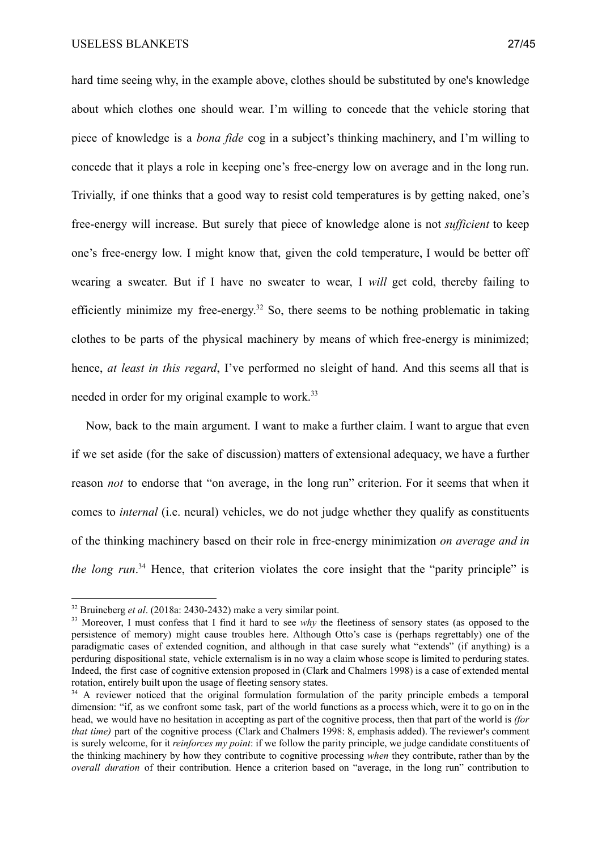hard time seeing why, in the example above, clothes should be substituted by one's knowledge about which clothes one should wear. I'm willing to concede that the vehicle storing that piece of knowledge is a *bona fide* cog in a subject's thinking machinery, and I'm willing to concede that it plays a role in keeping one's free-energy low on average and in the long run. Trivially, if one thinks that a good way to resist cold temperatures is by getting naked, one's free-energy will increase. But surely that piece of knowledge alone is not *sufficient* to keep one's free-energy low. I might know that, given the cold temperature, I would be better off wearing a sweater. But if I have no sweater to wear, I *will* get cold, thereby failing to efficiently minimize my free-energy.<sup>32</sup> So, there seems to be nothing problematic in taking clothes to be parts of the physical machinery by means of which free-energy is minimized; hence, *at least in this regard*, I've performed no sleight of hand. And this seems all that is needed in order for my original example to work.<sup>33</sup>

Now, back to the main argument. I want to make a further claim. I want to argue that even if we set aside (for the sake of discussion) matters of extensional adequacy, we have a further reason *not* to endorse that "on average, in the long run" criterion. For it seems that when it comes to *internal* (i.e. neural) vehicles, we do not judge whether they qualify as constituents of the thinking machinery based on their role in free-energy minimization *on average and in the long*  $run$ .<sup>34</sup> Hence, that criterion violates the core insight that the "parity principle" is

<sup>32</sup> Bruineberg *et al*. (2018a: 2430-2432) make a very similar point.

<sup>&</sup>lt;sup>33</sup> Moreover, I must confess that I find it hard to see *why* the fleetiness of sensory states (as opposed to the persistence of memory) might cause troubles here. Although Otto's case is (perhaps regrettably) one of the paradigmatic cases of extended cognition, and although in that case surely what "extends" (if anything) is a perduring dispositional state, vehicle externalism is in no way a claim whose scope is limited to perduring states. Indeed, the first case of cognitive extension proposed in (Clark and Chalmers 1998) is a case of extended mental rotation, entirely built upon the usage of fleeting sensory states.

<sup>&</sup>lt;sup>34</sup> A reviewer noticed that the original formulation formulation of the parity principle embeds a temporal dimension: "if, as we confront some task, part of the world functions as a process which, were it to go on in the head, we would have no hesitation in accepting as part of the cognitive process, then that part of the world is *(for that time*) part of the cognitive process (Clark and Chalmers 1998: 8, emphasis added). The reviewer's comment is surely welcome, for it *reinforces my point*: if we follow the parity principle, we judge candidate constituents of the thinking machinery by how they contribute to cognitive processing *when* they contribute, rather than by the *overall duration* of their contribution. Hence a criterion based on "average, in the long run" contribution to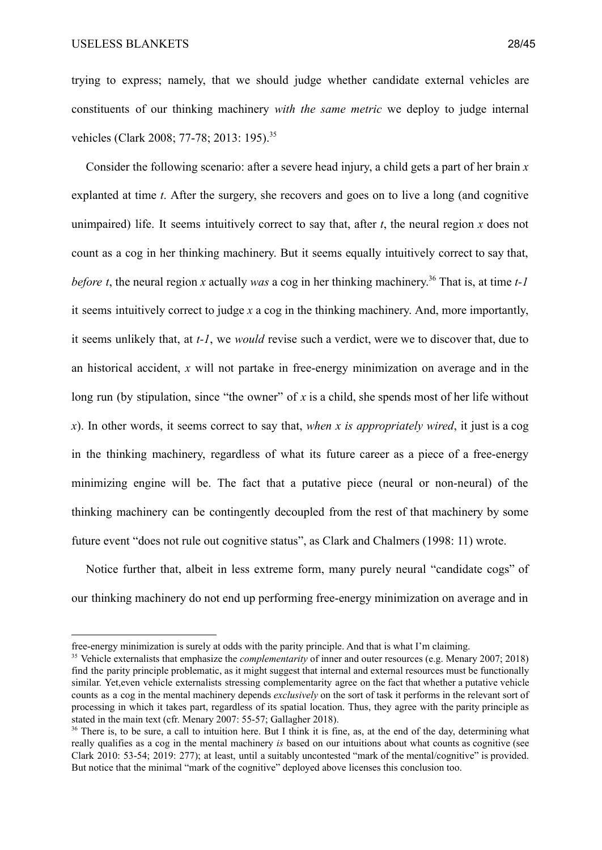trying to express; namely, that we should judge whether candidate external vehicles are constituents of our thinking machinery *with the same metric* we deploy to judge internal vehicles (Clark 2008; 77-78; 2013: 195).<sup>35</sup>

Consider the following scenario: after a severe head injury, a child gets a part of her brain *x* explanted at time *t*. After the surgery, she recovers and goes on to live a long (and cognitive unimpaired) life. It seems intuitively correct to say that, after *t*, the neural region *x* does not count as a cog in her thinking machinery. But it seems equally intuitively correct to say that, *before t*, the neural region *x* actually *was* a cog in her thinking machinery.<sup>36</sup> That is, at time  $t$ -1 it seems intuitively correct to judge *x* a cog in the thinking machinery. And, more importantly, it seems unlikely that, at *t-1*, we *would* revise such a verdict, were we to discover that, due to an historical accident, *x* will not partake in free-energy minimization on average and in the long run (by stipulation, since "the owner" of *x* is a child, she spends most of her life without *x*). In other words, it seems correct to say that, *when x is appropriately wired*, it just is a cog in the thinking machinery, regardless of what its future career as a piece of a free-energy minimizing engine will be. The fact that a putative piece (neural or non-neural) of the thinking machinery can be contingently decoupled from the rest of that machinery by some future event "does not rule out cognitive status", as Clark and Chalmers (1998: 11) wrote.

Notice further that, albeit in less extreme form, many purely neural "candidate cogs" of our thinking machinery do not end up performing free-energy minimization on average and in

free-energy minimization is surely at odds with the parity principle. And that is what I'm claiming.

<sup>35</sup> Vehicle externalists that emphasize the *complementarity* of inner and outer resources (e.g. Menary 2007; 2018) find the parity principle problematic, as it might suggest that internal and external resources must be functionally similar. Yet,even vehicle externalists stressing complementarity agree on the fact that whether a putative vehicle counts as a cog in the mental machinery depends *exclusively* on the sort of task it performs in the relevant sort of processing in which it takes part, regardless of its spatial location. Thus, they agree with the parity principle as stated in the main text (cfr. Menary 2007: 55-57; Gallagher 2018).

<sup>&</sup>lt;sup>36</sup> There is, to be sure, a call to intuition here. But I think it is fine, as, at the end of the day, determining what really qualifies as a cog in the mental machinery *is* based on our intuitions about what counts as cognitive (see Clark 2010: 53-54; 2019: 277); at least, until a suitably uncontested "mark of the mental/cognitive" is provided. But notice that the minimal "mark of the cognitive" deployed above licenses this conclusion too.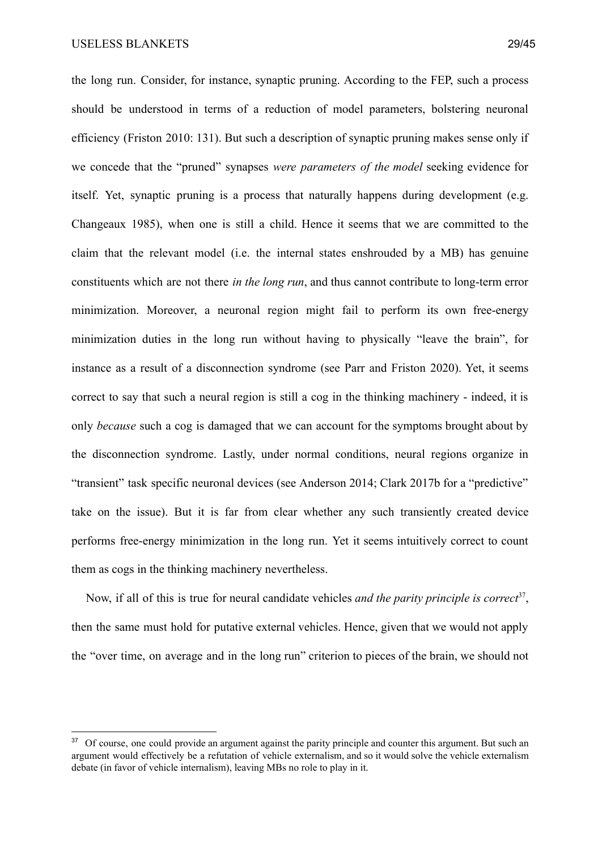the long run. Consider, for instance, synaptic pruning. According to the FEP, such a process should be understood in terms of a reduction of model parameters, bolstering neuronal efficiency (Friston 2010: 131). But such a description of synaptic pruning makes sense only if we concede that the "pruned" synapses *were parameters of the model* seeking evidence for itself. Yet, synaptic pruning is a process that naturally happens during development (e.g. Changeaux 1985), when one is still a child. Hence it seems that we are committed to the claim that the relevant model (i.e. the internal states enshrouded by a MB) has genuine constituents which are not there *in the long run*, and thus cannot contribute to long-term error minimization. Moreover, a neuronal region might fail to perform its own free-energy minimization duties in the long run without having to physically "leave the brain", for instance as a result of a disconnection syndrome (see Parr and Friston 2020). Yet, it seems correct to say that such a neural region is still a cog in the thinking machinery - indeed, it is only *because* such a cog is damaged that we can account for the symptoms brought about by the disconnection syndrome. Lastly, under normal conditions, neural regions organize in "transient" task specific neuronal devices (see Anderson 2014; Clark 2017b for a "predictive" take on the issue). But it is far from clear whether any such transiently created device performs free-energy minimization in the long run. Yet it seems intuitively correct to count them as cogs in the thinking machinery nevertheless.

Now, if all of this is true for neural candidate vehicles *and the parity principle is correct*<sup>37</sup>, then the same must hold for putative external vehicles. Hence, given that we would not apply the "over time, on average and in the long run" criterion to pieces of the brain, we should not

<sup>&</sup>lt;sup>37</sup> Of course, one could provide an argument against the parity principle and counter this argument. But such an argument would effectively be a refutation of vehicle externalism, and so it would solve the vehicle externalism debate (in favor of vehicle internalism), leaving MBs no role to play in it.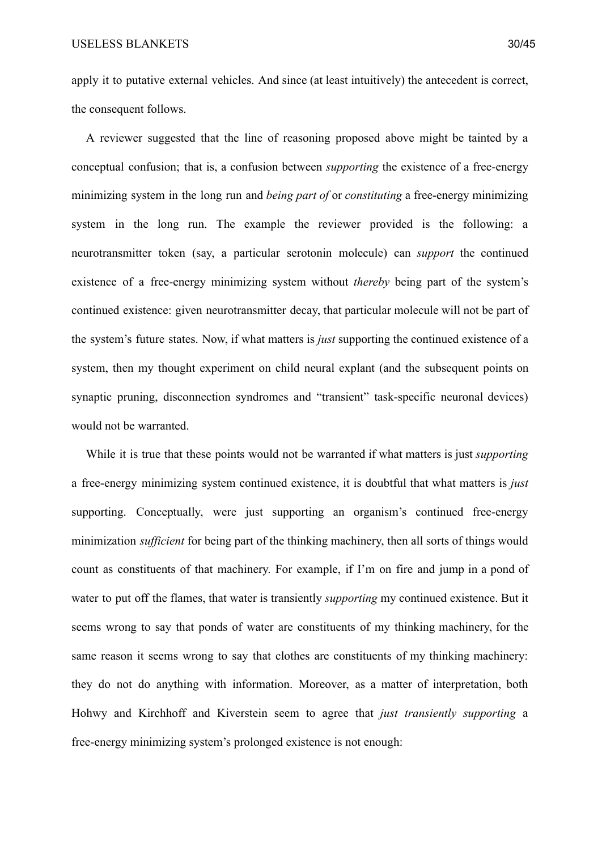apply it to putative external vehicles. And since (at least intuitively) the antecedent is correct, the consequent follows.

A reviewer suggested that the line of reasoning proposed above might be tainted by a conceptual confusion; that is, a confusion between *supporting* the existence of a free-energy minimizing system in the long run and *being part of* or *constituting* a free-energy minimizing system in the long run. The example the reviewer provided is the following: a neurotransmitter token (say, a particular serotonin molecule) can *support* the continued existence of a free-energy minimizing system without *thereby* being part of the system's continued existence: given neurotransmitter decay, that particular molecule will not be part of the system's future states. Now, if what matters is *just* supporting the continued existence of a system, then my thought experiment on child neural explant (and the subsequent points on synaptic pruning, disconnection syndromes and "transient" task-specific neuronal devices) would not be warranted.

While it is true that these points would not be warranted if what matters is just *supporting* a free-energy minimizing system continued existence, it is doubtful that what matters is *just* supporting. Conceptually, were just supporting an organism's continued free-energy minimization *sufficient* for being part of the thinking machinery, then all sorts of things would count as constituents of that machinery. For example, if I'm on fire and jump in a pond of water to put off the flames, that water is transiently *supporting* my continued existence. But it seems wrong to say that ponds of water are constituents of my thinking machinery, for the same reason it seems wrong to say that clothes are constituents of my thinking machinery: they do not do anything with information. Moreover, as a matter of interpretation, both Hohwy and Kirchhoff and Kiverstein seem to agree that *just transiently supporting* a free-energy minimizing system's prolonged existence is not enough: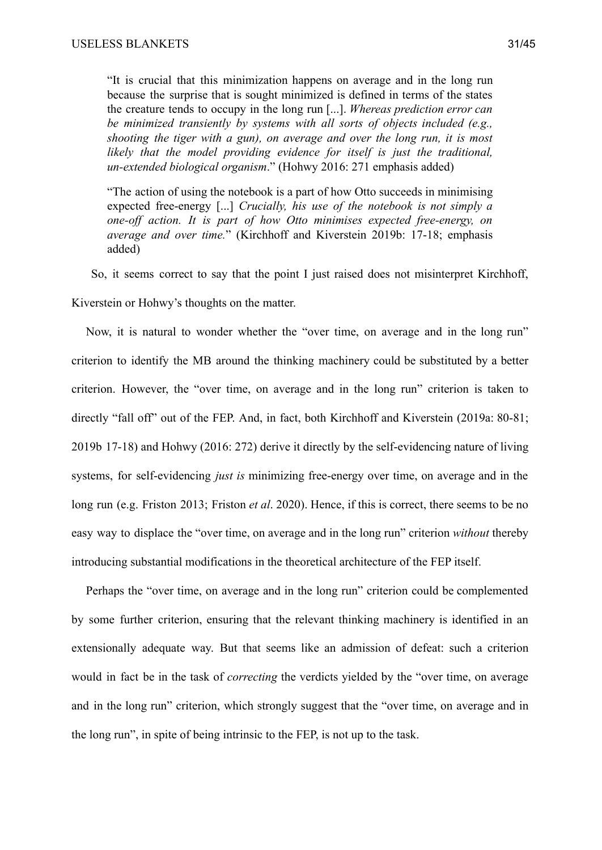"It is crucial that this minimization happens on average and in the long run because the surprise that is sought minimized is defined in terms of the states the creature tends to occupy in the long run [...]. *Whereas prediction error can be minimized transiently by systems with all sorts of objects included (e.g., shooting the tiger with a gun), on average and over the long run, it is most likely that the model providing evidence for itself is just the traditional, un-extended biological organism*." (Hohwy 2016: 271 emphasis added)

"The action of using the notebook is a part of how Otto succeeds in minimising expected free-energy [...] *Crucially, his use of the notebook is not simply a one-off action. It is part of how Otto minimises expected free-energy, on average and over time.*" (Kirchhoff and Kiverstein 2019b: 17-18; emphasis added)

So, it seems correct to say that the point I just raised does not misinterpret Kirchhoff, Kiverstein or Hohwy's thoughts on the matter.

Now, it is natural to wonder whether the "over time, on average and in the long run" criterion to identify the MB around the thinking machinery could be substituted by a better criterion. However, the "over time, on average and in the long run" criterion is taken to directly "fall off" out of the FEP. And, in fact, both Kirchhoff and Kiverstein (2019a: 80-81; 2019b 17-18) and Hohwy (2016: 272) derive it directly by the self-evidencing nature of living systems, for self-evidencing *just is* minimizing free-energy over time, on average and in the long run (e.g. Friston 2013; Friston *et al*. 2020). Hence, if this is correct, there seems to be no easy way to displace the "over time, on average and in the long run" criterion *without* thereby introducing substantial modifications in the theoretical architecture of the FEP itself.

Perhaps the "over time, on average and in the long run" criterion could be complemented by some further criterion, ensuring that the relevant thinking machinery is identified in an extensionally adequate way. But that seems like an admission of defeat: such a criterion would in fact be in the task of *correcting* the verdicts yielded by the "over time, on average and in the long run" criterion, which strongly suggest that the "over time, on average and in the long run", in spite of being intrinsic to the FEP, is not up to the task.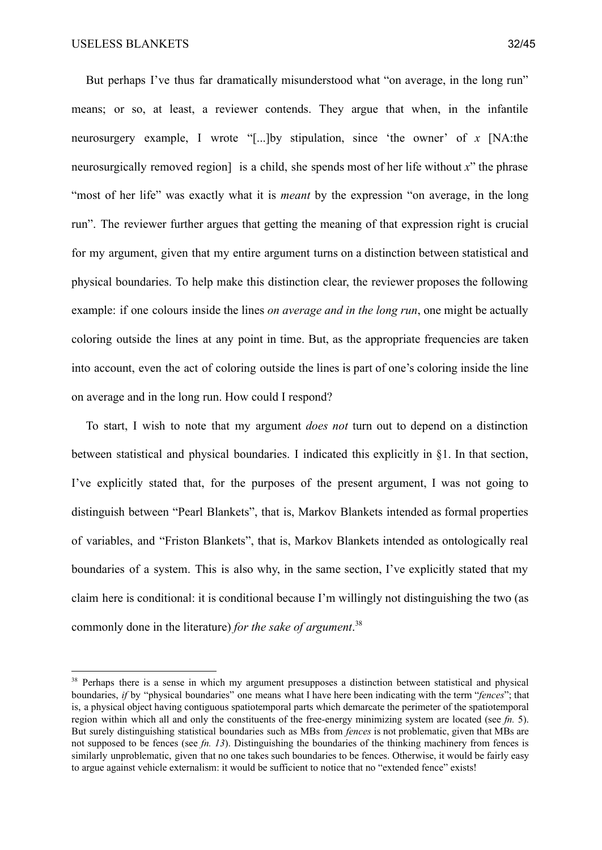But perhaps I've thus far dramatically misunderstood what "on average, in the long run" means; or so, at least, a reviewer contends. They argue that when, in the infantile neurosurgery example, I wrote "[...]by stipulation, since 'the owner' of *x* [NA:the neurosurgically removed region] is a child, she spends most of her life without *x*" the phrase "most of her life" was exactly what it is *meant* by the expression "on average, in the long run". The reviewer further argues that getting the meaning of that expression right is crucial for my argument, given that my entire argument turns on a distinction between statistical and physical boundaries. To help make this distinction clear, the reviewer proposes the following example: if one colours inside the lines *on average and in the long run*, one might be actually coloring outside the lines at any point in time. But, as the appropriate frequencies are taken into account, even the act of coloring outside the lines is part of one's coloring inside the line on average and in the long run. How could I respond?

To start, I wish to note that my argument *does not* turn out to depend on a distinction between statistical and physical boundaries. I indicated this explicitly in §1. In that section, I've explicitly stated that, for the purposes of the present argument, I was not going to distinguish between "Pearl Blankets", that is, Markov Blankets intended as formal properties of variables, and "Friston Blankets", that is, Markov Blankets intended as ontologically real boundaries of a system. This is also why, in the same section, I've explicitly stated that my claim here is conditional: it is conditional because I'm willingly not distinguishing the two (as commonly done in the literature) *for the sake of argument*. 38

<sup>&</sup>lt;sup>38</sup> Perhaps there is a sense in which my argument presupposes a distinction between statistical and physical boundaries, *if* by "physical boundaries" one means what I have here been indicating with the term "*fences*"; that is, a physical object having contiguous spatiotemporal parts which demarcate the perimeter of the spatiotemporal region within which all and only the constituents of the free-energy minimizing system are located (see *fn.* 5). But surely distinguishing statistical boundaries such as MBs from *fences* is not problematic, given that MBs are not supposed to be fences (see *fn. 13*). Distinguishing the boundaries of the thinking machinery from fences is similarly unproblematic, given that no one takes such boundaries to be fences. Otherwise, it would be fairly easy to argue against vehicle externalism: it would be sufficient to notice that no "extended fence" exists!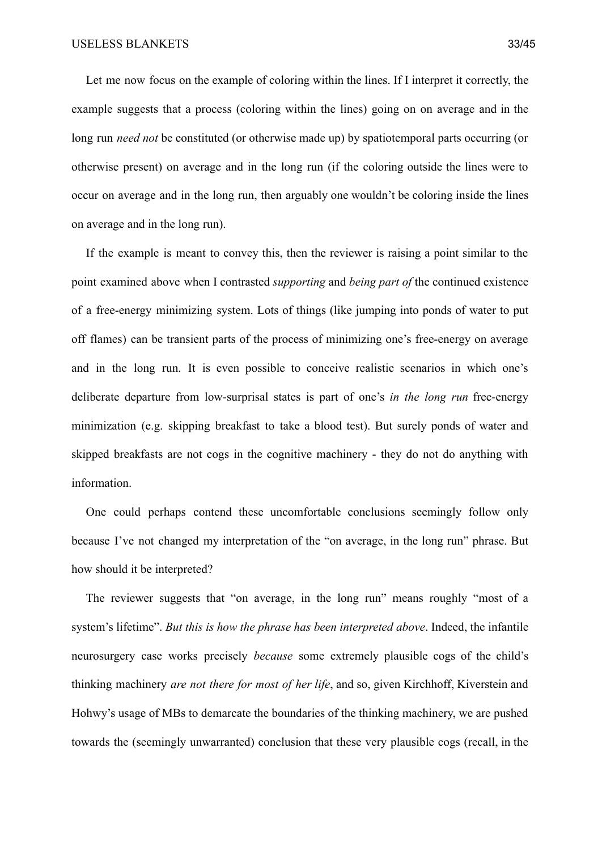Let me now focus on the example of coloring within the lines. If I interpret it correctly, the example suggests that a process (coloring within the lines) going on on average and in the long run *need not* be constituted (or otherwise made up) by spatiotemporal parts occurring (or otherwise present) on average and in the long run (if the coloring outside the lines were to occur on average and in the long run, then arguably one wouldn't be coloring inside the lines on average and in the long run).

If the example is meant to convey this, then the reviewer is raising a point similar to the point examined above when I contrasted *supporting* and *being part of* the continued existence of a free-energy minimizing system. Lots of things (like jumping into ponds of water to put off flames) can be transient parts of the process of minimizing one's free-energy on average and in the long run. It is even possible to conceive realistic scenarios in which one's deliberate departure from low-surprisal states is part of one's *in the long run* free-energy minimization (e.g. skipping breakfast to take a blood test). But surely ponds of water and skipped breakfasts are not cogs in the cognitive machinery - they do not do anything with information.

One could perhaps contend these uncomfortable conclusions seemingly follow only because I've not changed my interpretation of the "on average, in the long run" phrase. But how should it be interpreted?

The reviewer suggests that "on average, in the long run" means roughly "most of a system's lifetime". *But this is how the phrase has been interpreted above*. Indeed, the infantile neurosurgery case works precisely *because* some extremely plausible cogs of the child's thinking machinery *are not there for most of her life*, and so, given Kirchhoff, Kiverstein and Hohwy's usage of MBs to demarcate the boundaries of the thinking machinery, we are pushed towards the (seemingly unwarranted) conclusion that these very plausible cogs (recall, in the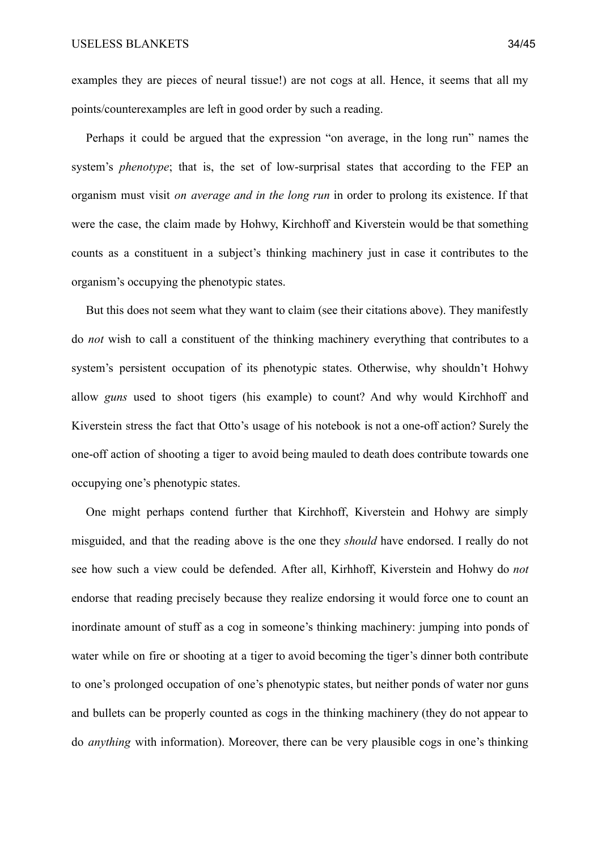examples they are pieces of neural tissue!) are not cogs at all. Hence, it seems that all my points/counterexamples are left in good order by such a reading.

Perhaps it could be argued that the expression "on average, in the long run" names the system's *phenotype*; that is, the set of low-surprisal states that according to the FEP an organism must visit *on average and in the long run* in order to prolong its existence. If that were the case, the claim made by Hohwy, Kirchhoff and Kiverstein would be that something counts as a constituent in a subject's thinking machinery just in case it contributes to the organism's occupying the phenotypic states.

But this does not seem what they want to claim (see their citations above). They manifestly do *not* wish to call a constituent of the thinking machinery everything that contributes to a system's persistent occupation of its phenotypic states. Otherwise, why shouldn't Hohwy allow *guns* used to shoot tigers (his example) to count? And why would Kirchhoff and Kiverstein stress the fact that Otto's usage of his notebook is not a one-off action? Surely the one-off action of shooting a tiger to avoid being mauled to death does contribute towards one occupying one's phenotypic states.

One might perhaps contend further that Kirchhoff, Kiverstein and Hohwy are simply misguided, and that the reading above is the one they *should* have endorsed. I really do not see how such a view could be defended. After all, Kirhhoff, Kiverstein and Hohwy do *not* endorse that reading precisely because they realize endorsing it would force one to count an inordinate amount of stuff as a cog in someone's thinking machinery: jumping into ponds of water while on fire or shooting at a tiger to avoid becoming the tiger's dinner both contribute to one's prolonged occupation of one's phenotypic states, but neither ponds of water nor guns and bullets can be properly counted as cogs in the thinking machinery (they do not appear to do *anything* with information). Moreover, there can be very plausible cogs in one's thinking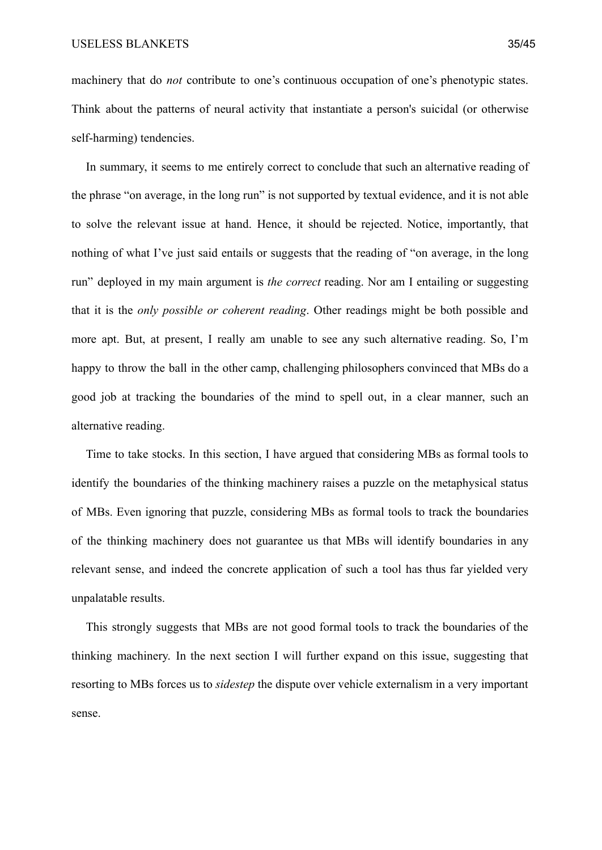machinery that do *not* contribute to one's continuous occupation of one's phenotypic states. Think about the patterns of neural activity that instantiate a person's suicidal (or otherwise self-harming) tendencies.

In summary, it seems to me entirely correct to conclude that such an alternative reading of the phrase "on average, in the long run" is not supported by textual evidence, and it is not able to solve the relevant issue at hand. Hence, it should be rejected. Notice, importantly, that nothing of what I've just said entails or suggests that the reading of "on average, in the long" run" deployed in my main argument is *the correct* reading. Nor am I entailing or suggesting that it is the *only possible or coherent reading*. Other readings might be both possible and more apt. But, at present, I really am unable to see any such alternative reading. So, I'm happy to throw the ball in the other camp, challenging philosophers convinced that MBs do a good job at tracking the boundaries of the mind to spell out, in a clear manner, such an alternative reading.

Time to take stocks. In this section, I have argued that considering MBs as formal tools to identify the boundaries of the thinking machinery raises a puzzle on the metaphysical status of MBs. Even ignoring that puzzle, considering MBs as formal tools to track the boundaries of the thinking machinery does not guarantee us that MBs will identify boundaries in any relevant sense, and indeed the concrete application of such a tool has thus far yielded very unpalatable results.

This strongly suggests that MBs are not good formal tools to track the boundaries of the thinking machinery. In the next section I will further expand on this issue, suggesting that resorting to MBs forces us to *sidestep* the dispute over vehicle externalism in a very important sense.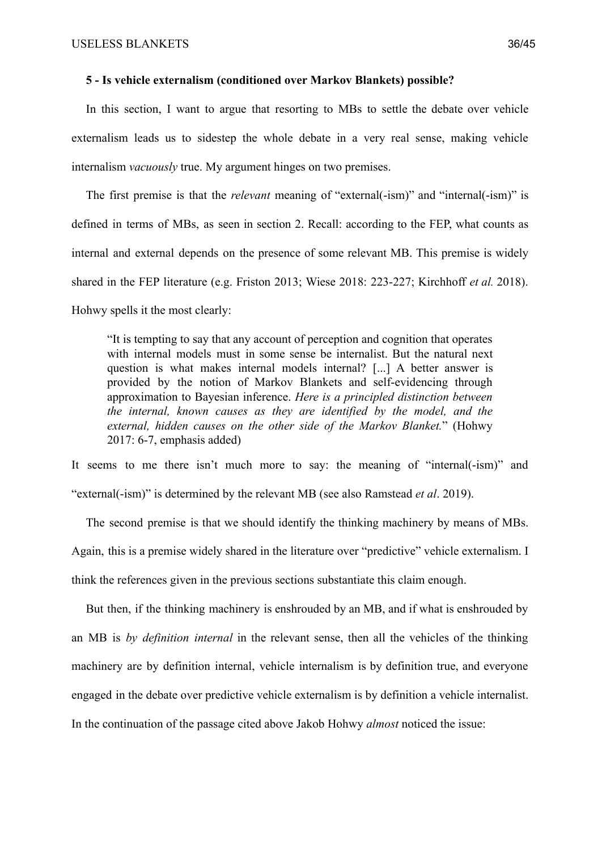## **5 - Is vehicle externalism (conditioned over Markov Blankets) possible?**

In this section, I want to argue that resorting to MBs to settle the debate over vehicle externalism leads us to sidestep the whole debate in a very real sense, making vehicle internalism *vacuously* true. My argument hinges on two premises.

The first premise is that the *relevant* meaning of "external(-ism)" and "internal(-ism)" is defined in terms of MBs, as seen in section 2. Recall: according to the FEP, what counts as internal and external depends on the presence of some relevant MB. This premise is widely shared in the FEP literature (e.g. Friston 2013; Wiese 2018: 223-227; Kirchhoff *et al.* 2018). Hohwy spells it the most clearly:

"It is tempting to say that any account of perception and cognition that operates with internal models must in some sense be internalist. But the natural next question is what makes internal models internal? [...] A better answer is provided by the notion of Markov Blankets and self-evidencing through approximation to Bayesian inference. *Here is a principled distinction between the internal, known causes as they are identified by the model, and the external, hidden causes on the other side of the Markov Blanket.*" (Hohwy 2017: 6-7, emphasis added)

It seems to me there isn't much more to say: the meaning of "internal(-ism)" and "external(-ism)" is determined by the relevant MB (see also Ramstead *et al*. 2019).

The second premise is that we should identify the thinking machinery by means of MBs. Again, this is a premise widely shared in the literature over "predictive" vehicle externalism. I think the references given in the previous sections substantiate this claim enough.

But then, if the thinking machinery is enshrouded by an MB, and if what is enshrouded by an MB is *by definition internal* in the relevant sense, then all the vehicles of the thinking machinery are by definition internal, vehicle internalism is by definition true, and everyone engaged in the debate over predictive vehicle externalism is by definition a vehicle internalist. In the continuation of the passage cited above Jakob Hohwy *almost* noticed the issue: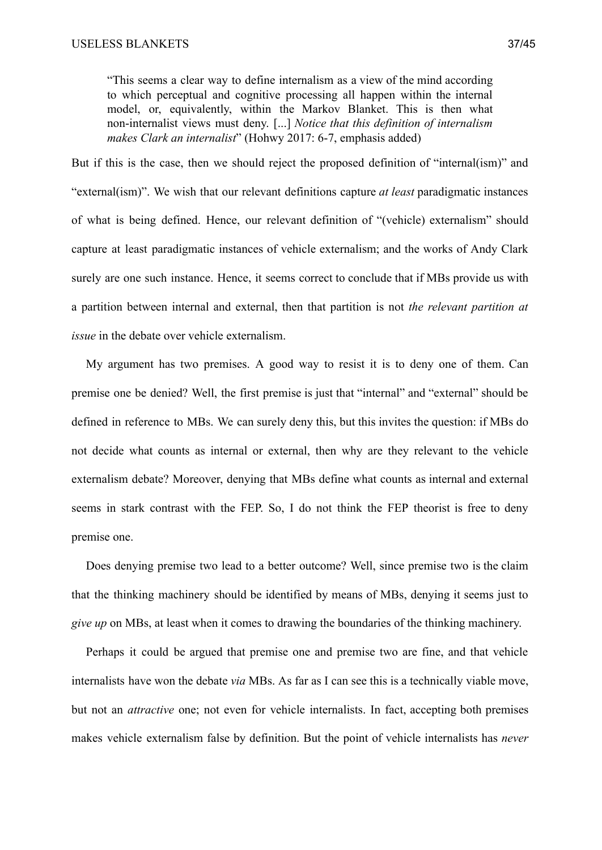"This seems a clear way to define internalism as a view of the mind according to which perceptual and cognitive processing all happen within the internal model, or, equivalently, within the Markov Blanket. This is then what non-internalist views must deny. [...] *Notice that this definition of internalism makes Clark an internalist*" (Hohwy 2017: 6-7, emphasis added)

But if this is the case, then we should reject the proposed definition of "internal(ism)" and "external(ism)". We wish that our relevant definitions capture *at least* paradigmatic instances of what is being defined. Hence, our relevant definition of "(vehicle) externalism" should capture at least paradigmatic instances of vehicle externalism; and the works of Andy Clark surely are one such instance. Hence, it seems correct to conclude that if MBs provide us with a partition between internal and external, then that partition is not *the relevant partition at issue* in the debate over vehicle externalism.

My argument has two premises. A good way to resist it is to deny one of them. Can premise one be denied? Well, the first premise is just that "internal" and "external" should be defined in reference to MBs. We can surely deny this, but this invites the question: if MBs do not decide what counts as internal or external, then why are they relevant to the vehicle externalism debate? Moreover, denying that MBs define what counts as internal and external seems in stark contrast with the FEP. So, I do not think the FEP theorist is free to deny premise one.

Does denying premise two lead to a better outcome? Well, since premise two is the claim that the thinking machinery should be identified by means of MBs, denying it seems just to *give up* on MBs, at least when it comes to drawing the boundaries of the thinking machinery.

Perhaps it could be argued that premise one and premise two are fine, and that vehicle internalists have won the debate *via* MBs. As far as I can see this is a technically viable move, but not an *attractive* one; not even for vehicle internalists. In fact, accepting both premises makes vehicle externalism false by definition. But the point of vehicle internalists has *never*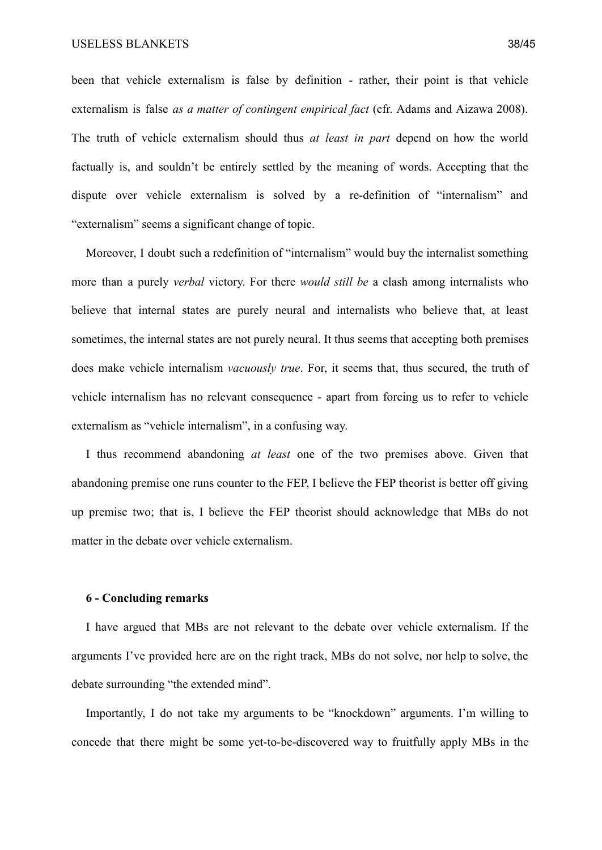been that vehicle externalism is false by definition - rather, their point is that vehicle externalism is false *as a matter of contingent empirical fact* (cfr. Adams and Aizawa 2008). The truth of vehicle externalism should thus *at least in part* depend on how the world factually is, and souldn't be entirely settled by the meaning of words. Accepting that the dispute over vehicle externalism is solved by a re-definition of "internalism" and "externalism" seems a significant change of topic.

Moreover, I doubt such a redefinition of "internalism" would buy the internalist something more than a purely *verbal* victory. For there *would still be* a clash among internalists who believe that internal states are purely neural and internalists who believe that, at least sometimes, the internal states are not purely neural. It thus seems that accepting both premises does make vehicle internalism *vacuously true*. For, it seems that, thus secured, the truth of vehicle internalism has no relevant consequence - apart from forcing us to refer to vehicle externalism as "vehicle internalism", in a confusing way.

I thus recommend abandoning *at least* one of the two premises above. Given that abandoning premise one runs counter to the FEP, I believe the FEP theorist is better off giving up premise two; that is, I believe the FEP theorist should acknowledge that MBs do not matter in the debate over vehicle externalism.

### **6 - Concluding remarks**

I have argued that MBs are not relevant to the debate over vehicle externalism. If the arguments I've provided here are on the right track, MBs do not solve, nor help to solve, the debate surrounding "the extended mind".

Importantly, I do not take my arguments to be "knockdown" arguments. I'm willing to concede that there might be some yet-to-be-discovered way to fruitfully apply MBs in the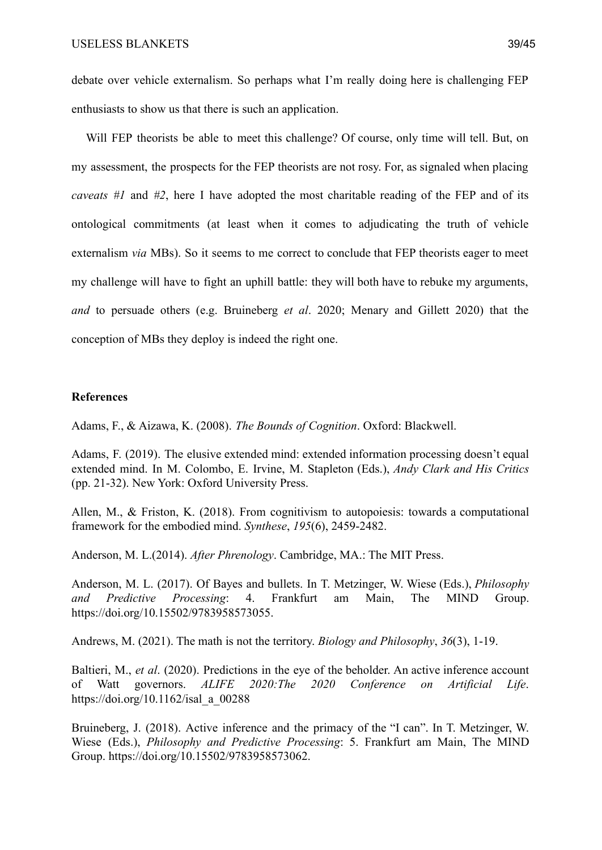debate over vehicle externalism. So perhaps what I'm really doing here is challenging FEP enthusiasts to show us that there is such an application.

Will FEP theorists be able to meet this challenge? Of course, only time will tell. But, on my assessment, the prospects for the FEP theorists are not rosy. For, as signaled when placing *caveats #1* and *#2*, here I have adopted the most charitable reading of the FEP and of its ontological commitments (at least when it comes to adjudicating the truth of vehicle externalism *via* MBs). So it seems to me correct to conclude that FEP theorists eager to meet my challenge will have to fight an uphill battle: they will both have to rebuke my arguments, *and* to persuade others (e.g. Bruineberg *et al*. 2020; Menary and Gillett 2020) that the conception of MBs they deploy is indeed the right one.

# **References**

Adams, F., & Aizawa, K. (2008). *The Bounds of Cognition*. Oxford: Blackwell.

Adams, F. (2019). The elusive extended mind: extended information processing doesn't equal extended mind. In M. Colombo, E. Irvine, M. Stapleton (Eds.), *Andy Clark and His Critics* (pp. 21-32). New York: Oxford University Press.

Allen, M., & Friston, K. (2018). From cognitivism to autopoiesis: towards a computational framework for the embodied mind. *Synthese*, *195*(6), 2459-2482.

Anderson, M. L.(2014). *After Phrenology*. Cambridge, MA.: The MIT Press.

Anderson, M. L. (2017). Of Bayes and bullets. In T. Metzinger, W. Wiese (Eds.), *Philosophy and Predictive Processing*: 4. Frankfurt am Main, The MIND Group. https://doi.org/10.15502/9783958573055.

Andrews, M. (2021). The math is not the territory. *Biology and Philosophy*, *36*(3), 1-19.

Baltieri, M., *et al*. (2020). Predictions in the eye of the beholder. An active inference account of Watt governors. *ALIFE 2020:The 2020 Conference on Artificial Life*. https://doi.org/10.1162/isal\_a\_00288

Bruineberg, J. (2018). Active inference and the primacy of the "I can". In T. Metzinger, W. Wiese (Eds.), *Philosophy and Predictive Processing*: 5. Frankfurt am Main, The MIND Group. https://doi.org/10.15502/9783958573062.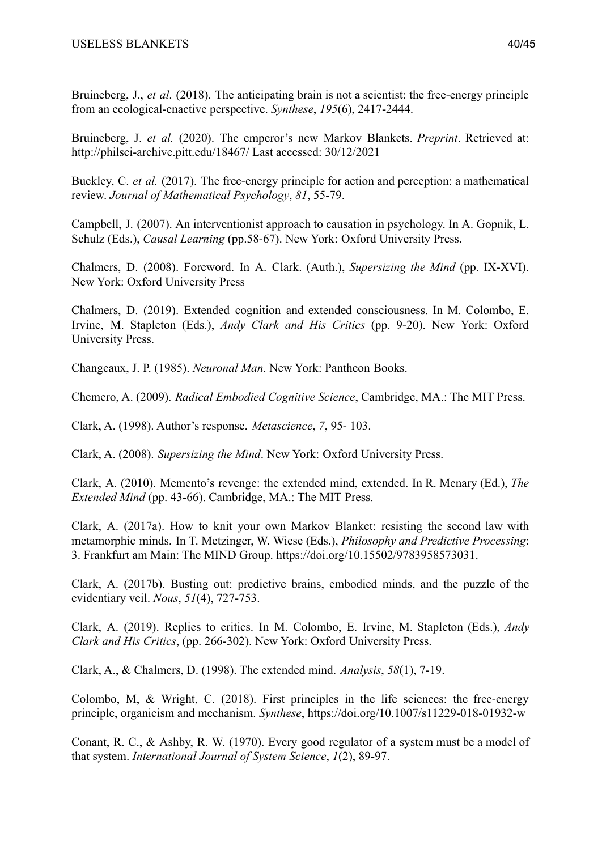Bruineberg, J., *et al*. (2018). The anticipating brain is not a scientist: the free-energy principle from an ecological-enactive perspective. *Synthese*, *195*(6), 2417-2444.

Bruineberg, J. *et al.* (2020). The emperor's new Markov Blankets. *Preprint*. Retrieved at: http://philsci-archive.pitt.edu/18467/ Last accessed: 30/12/2021

Buckley, C. *et al.* (2017). The free-energy principle for action and perception: a mathematical review. *Journal of Mathematical Psychology*, *81*, 55-79.

Campbell, J. (2007). An interventionist approach to causation in psychology. In A. Gopnik, L. Schulz (Eds.), *Causal Learning* (pp.58-67). New York: Oxford University Press.

Chalmers, D. (2008). Foreword. In A. Clark. (Auth.), *Supersizing the Mind* (pp. IX-XVI). New York: Oxford University Press

Chalmers, D. (2019). Extended cognition and extended consciousness. In M. Colombo, E. Irvine, M. Stapleton (Eds.), *Andy Clark and His Critics* (pp. 9-20). New York: Oxford University Press.

Changeaux, J. P. (1985). *Neuronal Man*. New York: Pantheon Books.

Chemero, A. (2009). *Radical Embodied Cognitive Science*, Cambridge, MA.: The MIT Press.

Clark, A. (1998). Author's response. *Metascience*, *7*, 95- 103.

Clark, A. (2008). *Supersizing the Mind*. New York: Oxford University Press.

Clark, A. (2010). Memento's revenge: the extended mind, extended. In R. Menary (Ed.), *The Extended Mind* (pp. 43-66). Cambridge, MA.: The MIT Press.

Clark, A. (2017a). How to knit your own Markov Blanket: resisting the second law with metamorphic minds. In T. Metzinger, W. Wiese (Eds.), *Philosophy and Predictive Processing*: 3. Frankfurt am Main: The MIND Group. https://doi.org/10.15502/9783958573031.

Clark, A. (2017b). Busting out: predictive brains, embodied minds, and the puzzle of the evidentiary veil. *Nous*, *51*(4), 727-753.

Clark, A. (2019). Replies to critics. In M. Colombo, E. Irvine, M. Stapleton (Eds.), *Andy Clark and His Critics*, (pp. 266-302). New York: Oxford University Press.

Clark, A., & Chalmers, D. (1998). The extended mind. *Analysis*, *58*(1), 7-19.

Colombo, M, & Wright, C. (2018). First principles in the life sciences: the free-energy principle, organicism and mechanism. *Synthese*, https://doi.org/10.1007/s11229-018-01932-w

Conant, R. C., & Ashby, R. W. (1970). Every good regulator of a system must be a model of that system. *International Journal of System Science*, *1*(2), 89-97.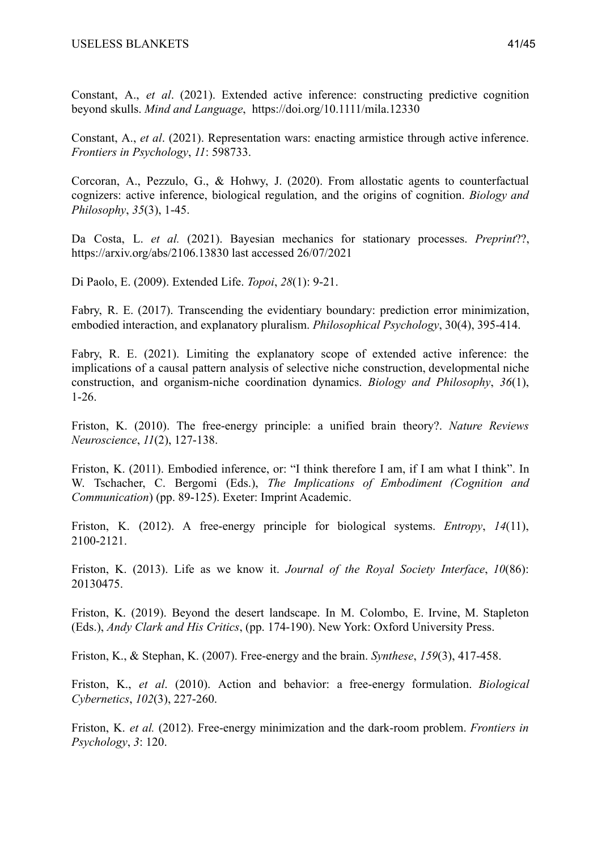Constant, A., *et al*. (2021). Extended active inference: constructing predictive cognition beyond skulls. *Mind and Language*, https://doi.org/10.1111/mila.12330

Constant, A., *et al*. (2021). Representation wars: enacting armistice through active inference. *Frontiers in Psychology*, *11*: 598733.

Corcoran, A., Pezzulo, G., & Hohwy, J. (2020). From allostatic agents to counterfactual cognizers: active inference, biological regulation, and the origins of cognition. *Biology and Philosophy*, *35*(3), 1-45.

Da Costa, L. *et al.* (2021). Bayesian mechanics for stationary processes. *Preprint*??, https://arxiv.org/abs/2106.13830 last accessed 26/07/2021

Di Paolo, E. (2009). Extended Life. *Topoi*, *28*(1): 9-21.

Fabry, R. E. (2017). Transcending the evidentiary boundary: prediction error minimization, embodied interaction, and explanatory pluralism. *Philosophical Psychology*, 30(4), 395-414.

Fabry, R. E. (2021). Limiting the explanatory scope of extended active inference: the implications of a causal pattern analysis of selective niche construction, developmental niche construction, and organism-niche coordination dynamics. *Biology and Philosophy*, *36*(1), 1-26.

Friston, K. (2010). The free-energy principle: a unified brain theory?. *Nature Reviews Neuroscience*, *11*(2), 127-138.

Friston, K. (2011). Embodied inference, or: "I think therefore I am, if I am what I think". In W. Tschacher, C. Bergomi (Eds.), *The Implications of Embodiment (Cognition and Communication*) (pp. 89-125). Exeter: Imprint Academic.

Friston, K. (2012). A free-energy principle for biological systems. *Entropy*, *14*(11), 2100-2121.

Friston, K. (2013). Life as we know it. *Journal of the Royal Society Interface*, *10*(86): 20130475.

Friston, K. (2019). Beyond the desert landscape. In M. Colombo, E. Irvine, M. Stapleton (Eds.), *Andy Clark and His Critics*, (pp. 174-190). New York: Oxford University Press.

Friston, K., & Stephan, K. (2007). Free-energy and the brain. *Synthese*, *159*(3), 417-458.

Friston, K., *et al*. (2010). Action and behavior: a free-energy formulation. *Biological Cybernetics*, *102*(3), 227-260.

Friston, K. *et al.* (2012). Free-energy minimization and the dark-room problem. *Frontiers in Psychology*, *3*: 120.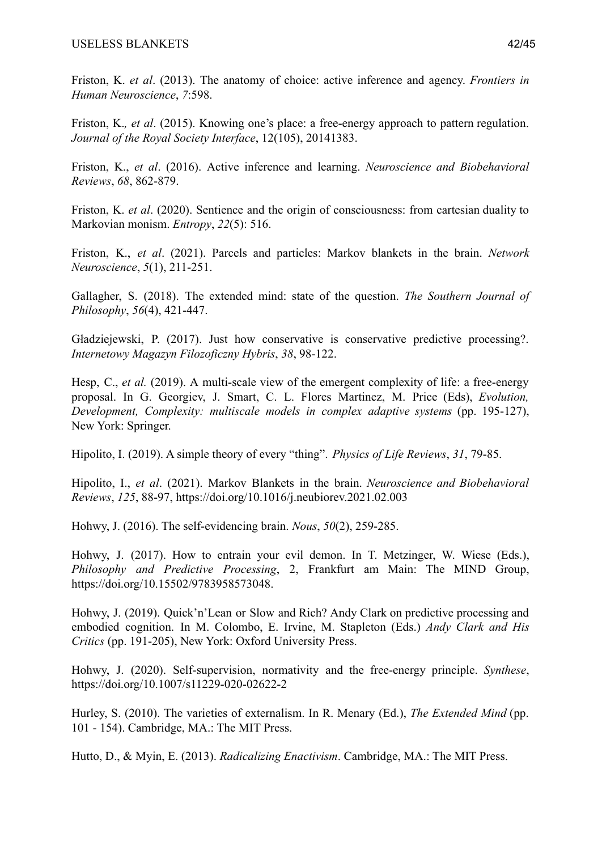Friston, K.*, et al*. (2015). Knowing one's place: a free-energy approach to pattern regulation. *Journal of the Royal Society Interface*, 12(105), 20141383.

Friston, K., *et al*. (2016). Active inference and learning. *Neuroscience and Biobehavioral Reviews*, *68*, 862-879.

Friston, K. *et al*. (2020). Sentience and the origin of consciousness: from cartesian duality to Markovian monism. *Entropy*, *22*(5): 516.

Friston, K., *et al*. (2021). Parcels and particles: Markov blankets in the brain. *Network Neuroscience*, *5*(1), 211-251.

Gallagher, S. (2018). The extended mind: state of the question. *The Southern Journal of Philosophy*, *56*(4), 421-447.

Gładziejewski, P. (2017). Just how conservative is conservative predictive processing? *Internetowy Magazyn Filozoficzny Hybris*, *38*, 98-122.

Hesp, C., *et al.* (2019). A multi-scale view of the emergent complexity of life: a free-energy proposal. In G. Georgiev, J. Smart, C. L. Flores Martinez, M. Price (Eds), *Evolution, Development, Complexity: multiscale models in complex adaptive systems* (pp. 195-127), New York: Springer.

Hipolito, I. (2019). A simple theory of every "thing". *Physics of Life Reviews*, *31*, 79-85.

Hipolito, I., *et al*. (2021). Markov Blankets in the brain. *Neuroscience and Biobehavioral Reviews*, *125*, 88-97, https://doi.org/10.1016/j.neubiorev.2021.02.003

Hohwy, J. (2016). The self-evidencing brain. *Nous*, *50*(2), 259-285.

Hohwy, J. (2017). How to entrain your evil demon. In T. Metzinger, W. Wiese (Eds.), *Philosophy and Predictive Processing*, 2, Frankfurt am Main: The MIND Group, https://doi.org/10.15502/9783958573048.

Hohwy, J. (2019). Quick'n'Lean or Slow and Rich? Andy Clark on predictive processing and embodied cognition. In M. Colombo, E. Irvine, M. Stapleton (Eds.) *Andy Clark and His Critics* (pp. 191-205), New York: Oxford University Press.

Hohwy, J. (2020). Self-supervision, normativity and the free-energy principle. *Synthese*, https://doi.org/10.1007/s11229-020-02622-2

Hurley, S. (2010). The varieties of externalism. In R. Menary (Ed.), *The Extended Mind* (pp. 101 - 154). Cambridge, MA.: The MIT Press.

Hutto, D., & Myin, E. (2013). *Radicalizing Enactivism*. Cambridge, MA.: The MIT Press.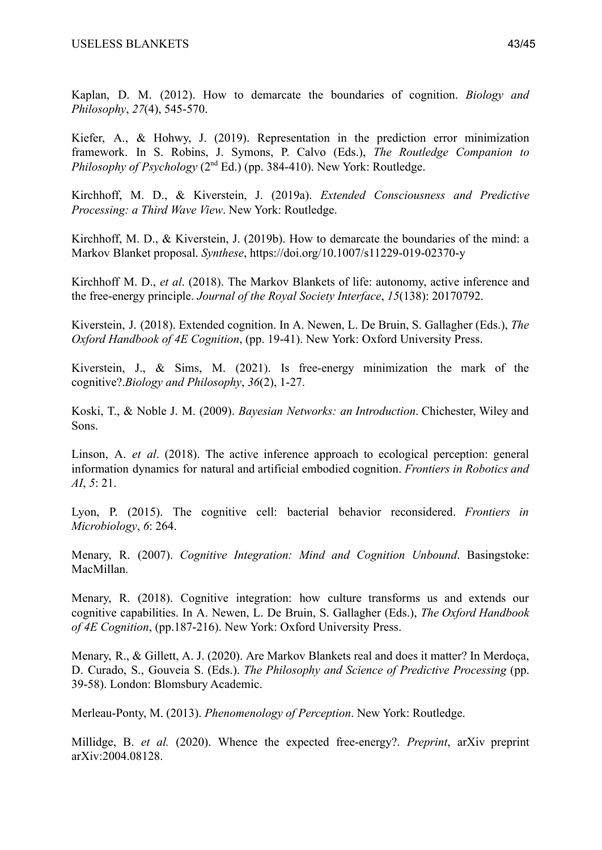Kaplan, D. M. (2012). How to demarcate the boundaries of cognition. *Biology and Philosophy*, *27*(4), 545-570.

Kiefer, A., & Hohwy, J. (2019). Representation in the prediction error minimization framework. In S. Robins, J. Symons, P. Calvo (Eds.), *The Routledge Companion to Philosophy of Psychology* ( $2<sup>nd</sup> Ed$ .) (pp. 384-410). New York: Routledge.

Kirchhoff, M. D., & Kiverstein, J. (2019a). *Extended Consciousness and Predictive Processing: a Third Wave View*. New York: Routledge.

Kirchhoff, M. D., & Kiverstein, J. (2019b). How to demarcate the boundaries of the mind: a Markov Blanket proposal. *Synthese*, https://doi.org/10.1007/s11229-019-02370-y

Kirchhoff M. D., *et al*. (2018). The Markov Blankets of life: autonomy, active inference and the free-energy principle. *Journal of the Royal Society Interface*, *15*(138): 20170792.

Kiverstein, J. (2018). Extended cognition. In A. Newen, L. De Bruin, S. Gallagher (Eds.), *The Oxford Handbook of 4E Cognition*, (pp. 19-41). New York: Oxford University Press.

Kiverstein, J., & Sims, M. (2021). Is free-energy minimization the mark of the cognitive?.*Biology and Philosophy*, *36*(2), 1-27.

Koski, T., & Noble J. M. (2009). *Bayesian Networks: an Introduction*. Chichester, Wiley and Sons.

Linson, A. *et al*. (2018). The active inference approach to ecological perception: general information dynamics for natural and artificial embodied cognition. *Frontiers in Robotics and AI*, *5*: 21.

Lyon, P. (2015). The cognitive cell: bacterial behavior reconsidered. *Frontiers in Microbiology*, *6*: 264.

Menary, R. (2007). *Cognitive Integration: Mind and Cognition Unbound*. Basingstoke: MacMillan.

Menary, R. (2018). Cognitive integration: how culture transforms us and extends our cognitive capabilities. In A. Newen, L. De Bruin, S. Gallagher (Eds.), *The Oxford Handbook of 4E Cognition*, (pp.187-216). New York: Oxford University Press.

Menary, R., & Gillett, A. J. (2020). Are Markov Blankets real and does it matter? In Merdoça, D. Curado, S., Gouveia S. (Eds.). *The Philosophy and Science of Predictive Processing* (pp. 39-58). London: Blomsbury Academic.

Merleau-Ponty, M. (2013). *Phenomenology of Perception*. New York: Routledge.

Millidge, B. *et al.* (2020). Whence the expected free-energy?. *Preprint*, arXiv preprint arXiv:2004.08128.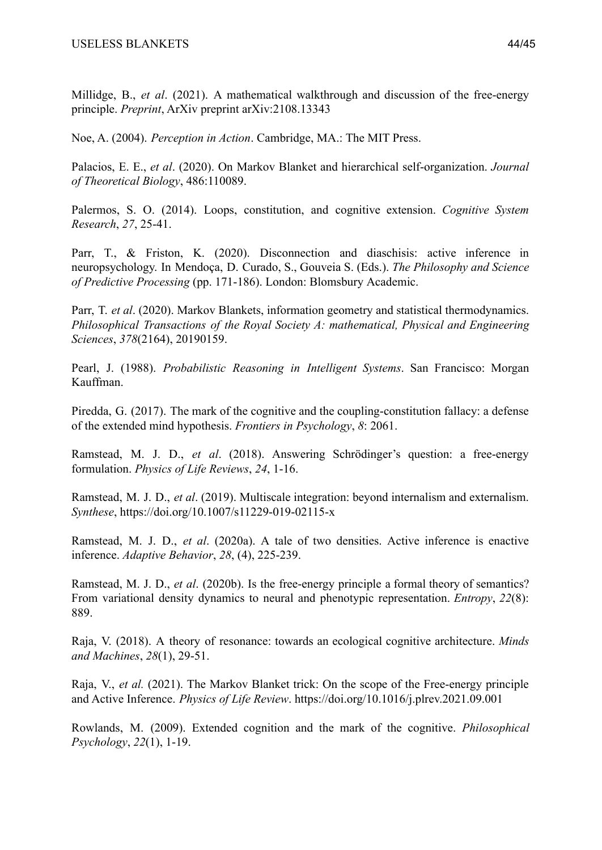Millidge, B., *et al*. (2021). A mathematical walkthrough and discussion of the free-energy principle. *Preprint*, ArXiv preprint arXiv:2108.13343

Noe, A. (2004). *Perception in Action*. Cambridge, MA.: The MIT Press.

Palacios, E. E., *et al*. (2020). On Markov Blanket and hierarchical self-organization. *Journal of Theoretical Biology*, 486:110089.

Palermos, S. O. (2014). Loops, constitution, and cognitive extension. *Cognitive System Research*, *27*, 25-41.

Parr, T., & Friston, K. (2020). Disconnection and diaschisis: active inference in neuropsychology. In Mendoça, D. Curado, S., Gouveia S. (Eds.). *The Philosophy and Science of Predictive Processing* (pp. 171-186). London: Blomsbury Academic.

Parr, T. *et al*. (2020). Markov Blankets, information geometry and statistical thermodynamics. *Philosophical Transactions of the Royal Society A: mathematical, Physical and Engineering Sciences*, *378*(2164), 20190159.

Pearl, J. (1988). *Probabilistic Reasoning in Intelligent Systems*. San Francisco: Morgan Kauffman.

Piredda, G. (2017). The mark of the cognitive and the coupling-constitution fallacy: a defense of the extended mind hypothesis. *Frontiers in Psychology*, *8*: 2061.

Ramstead, M. J. D., *et al*. (2018). Answering Schrödinger's question: a free-energy formulation. *Physics of Life Reviews*, *24*, 1-16.

Ramstead, M. J. D., *et al*. (2019). Multiscale integration: beyond internalism and externalism. *Synthese*, https://doi.org/10.1007/s11229-019-02115-x

Ramstead, M. J. D., *et al*. (2020a). A tale of two densities. Active inference is enactive inference. *Adaptive Behavior*, *28*, (4), 225-239.

Ramstead, M. J. D., *et al*. (2020b). Is the free-energy principle a formal theory of semantics? From variational density dynamics to neural and phenotypic representation. *Entropy*, *22*(8): 889.

Raja, V. (2018). A theory of resonance: towards an ecological cognitive architecture. *Minds and Machines*, *28*(1), 29-51.

Raja, V., *et al.* (2021). The Markov Blanket trick: On the scope of the Free-energy principle and Active Inference. *Physics of Life Review*. https://doi.org/10.1016/j.plrev.2021.09.001

Rowlands, M. (2009). Extended cognition and the mark of the cognitive. *Philosophical Psychology*, *22*(1), 1-19.